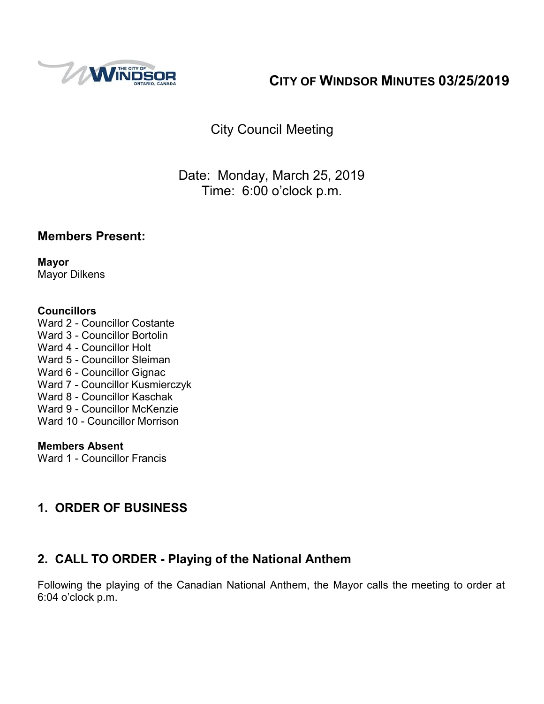

## **CITY OF WINDSOR MINUTES 03/25/2019**

City Council Meeting

Date: Monday, March 25, 2019 Time: 6:00 o'clock p.m.

## **Members Present:**

**Mayor** Mayor Dilkens

#### **Councillors**

Ward 2 - Councillor Costante Ward 3 - Councillor Bortolin Ward 4 - Councillor Holt Ward 5 - Councillor Sleiman Ward 6 - Councillor Gignac Ward 7 - Councillor Kusmierczyk Ward 8 - Councillor Kaschak Ward 9 - Councillor McKenzie Ward 10 - Councillor Morrison

#### **Members Absent**

Ward 1 - Councillor Francis

## **1. ORDER OF BUSINESS**

## **2. CALL TO ORDER - Playing of the National Anthem**

Following the playing of the Canadian National Anthem, the Mayor calls the meeting to order at 6:04 o'clock p.m.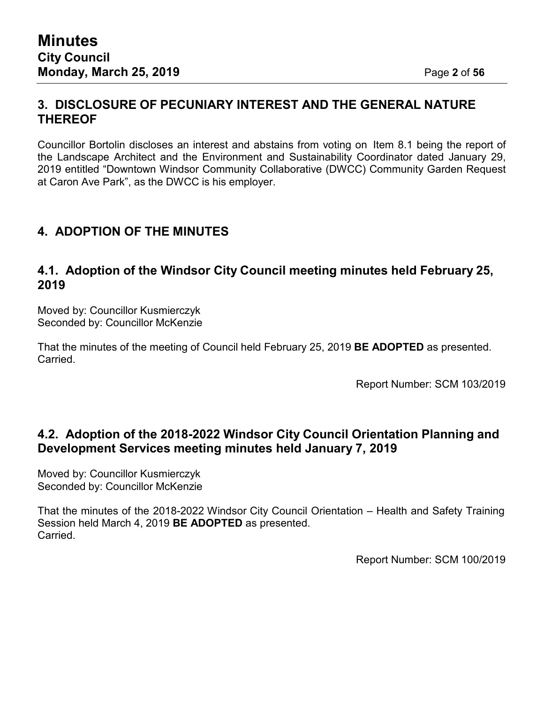### **3. DISCLOSURE OF PECUNIARY INTEREST AND THE GENERAL NATURE THEREOF**

Councillor Bortolin discloses an interest and abstains from voting on Item 8.1 being the report of the Landscape Architect and the Environment and Sustainability Coordinator dated January 29, 2019 entitled "Downtown Windsor Community Collaborative (DWCC) Community Garden Request at Caron Ave Park", as the DWCC is his employer.

## **4. ADOPTION OF THE MINUTES**

#### **4.1. Adoption of the Windsor City Council meeting minutes held February 25, 2019**

Moved by: Councillor Kusmierczyk Seconded by: Councillor McKenzie

That the minutes of the meeting of Council held February 25, 2019 **BE ADOPTED** as presented. Carried.

Report Number: SCM 103/2019

## **4.2. Adoption of the 2018-2022 Windsor City Council Orientation Planning and Development Services meeting minutes held January 7, 2019**

Moved by: Councillor Kusmierczyk Seconded by: Councillor McKenzie

That the minutes of the 2018-2022 Windsor City Council Orientation – Health and Safety Training Session held March 4, 2019 **BE ADOPTED** as presented. Carried.

Report Number: SCM 100/2019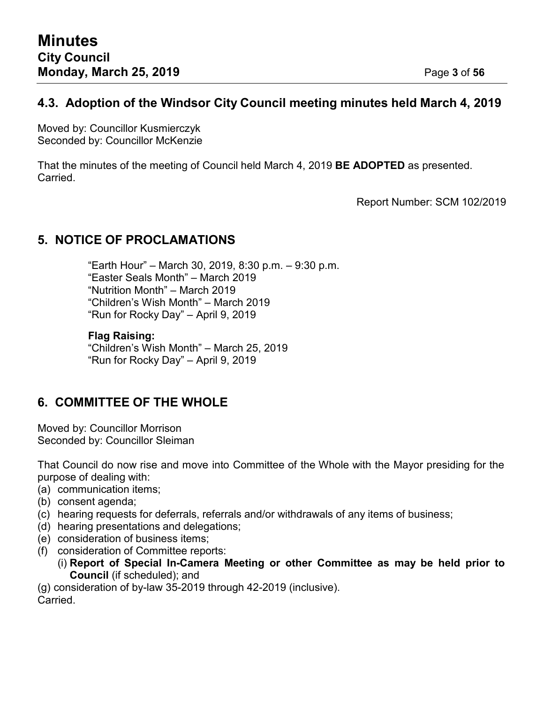## **4.3. Adoption of the Windsor City Council meeting minutes held March 4, 2019**

Moved by: Councillor Kusmierczyk Seconded by: Councillor McKenzie

That the minutes of the meeting of Council held March 4, 2019 **BE ADOPTED** as presented. Carried.

Report Number: SCM 102/2019

## **5. NOTICE OF PROCLAMATIONS**

"Earth Hour" – March 30, 2019, 8:30 p.m. – 9:30 p.m. "Easter Seals Month" – March 2019 "Nutrition Month" – March 2019 "Children's Wish Month" – March 2019 "Run for Rocky Day" – April 9, 2019

#### **Flag Raising:**

"Children's Wish Month" – March 25, 2019 "Run for Rocky Day" – April 9, 2019

## **6. COMMITTEE OF THE WHOLE**

Moved by: Councillor Morrison Seconded by: Councillor Sleiman

That Council do now rise and move into Committee of the Whole with the Mayor presiding for the purpose of dealing with:

- (a) communication items;
- (b) consent agenda;
- (c) hearing requests for deferrals, referrals and/or withdrawals of any items of business;
- (d) hearing presentations and delegations;
- (e) consideration of business items;
- (f) consideration of Committee reports:
	- (i) **Report of Special In-Camera Meeting or other Committee as may be held prior to Council** (if scheduled); and

(g) consideration of by-law 35-2019 through 42-2019 (inclusive).

Carried.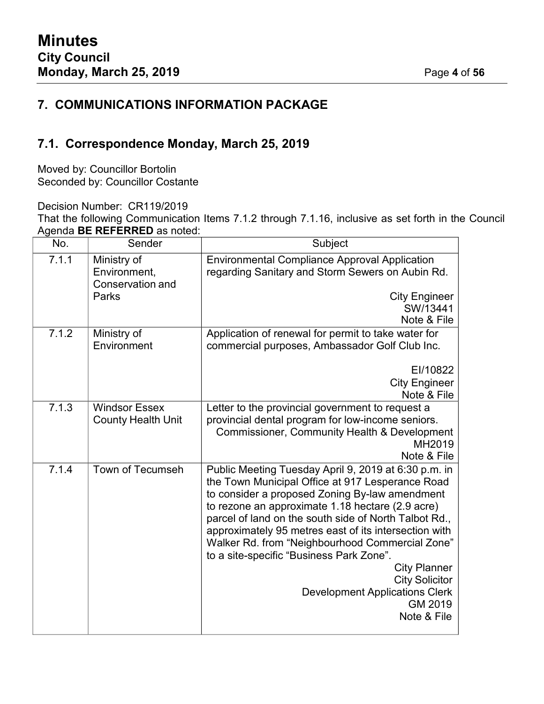## **7. COMMUNICATIONS INFORMATION PACKAGE**

## **7.1. Correspondence Monday, March 25, 2019**

Moved by: Councillor Bortolin Seconded by: Councillor Costante

Decision Number: CR119/2019

That the following Communication Items 7.1.2 through 7.1.16, inclusive as set forth in the Council Agenda **BE REFERRED** as noted:

| No.   | Sender                                            | Subject                                                                                                                                                                                                                                                                                                                                                                                                                                                                                                                                            |
|-------|---------------------------------------------------|----------------------------------------------------------------------------------------------------------------------------------------------------------------------------------------------------------------------------------------------------------------------------------------------------------------------------------------------------------------------------------------------------------------------------------------------------------------------------------------------------------------------------------------------------|
| 7.1.1 | Ministry of<br>Environment,<br>Conservation and   | <b>Environmental Compliance Approval Application</b><br>regarding Sanitary and Storm Sewers on Aubin Rd.                                                                                                                                                                                                                                                                                                                                                                                                                                           |
|       | Parks                                             | <b>City Engineer</b><br>SW/13441<br>Note & File                                                                                                                                                                                                                                                                                                                                                                                                                                                                                                    |
| 7.1.2 | Ministry of<br>Environment                        | Application of renewal for permit to take water for<br>commercial purposes, Ambassador Golf Club Inc.                                                                                                                                                                                                                                                                                                                                                                                                                                              |
|       |                                                   | EI/10822<br><b>City Engineer</b><br>Note & File                                                                                                                                                                                                                                                                                                                                                                                                                                                                                                    |
| 7.1.3 | <b>Windsor Essex</b><br><b>County Health Unit</b> | Letter to the provincial government to request a<br>provincial dental program for low-income seniors.<br><b>Commissioner, Community Health &amp; Development</b><br>MH2019<br>Note & File                                                                                                                                                                                                                                                                                                                                                          |
| 7.1.4 | Town of Tecumseh                                  | Public Meeting Tuesday April 9, 2019 at 6:30 p.m. in<br>the Town Municipal Office at 917 Lesperance Road<br>to consider a proposed Zoning By-law amendment<br>to rezone an approximate 1.18 hectare (2.9 acre)<br>parcel of land on the south side of North Talbot Rd.,<br>approximately 95 metres east of its intersection with<br>Walker Rd. from "Neighbourhood Commercial Zone"<br>to a site-specific "Business Park Zone".<br><b>City Planner</b><br><b>City Solicitor</b><br><b>Development Applications Clerk</b><br>GM 2019<br>Note & File |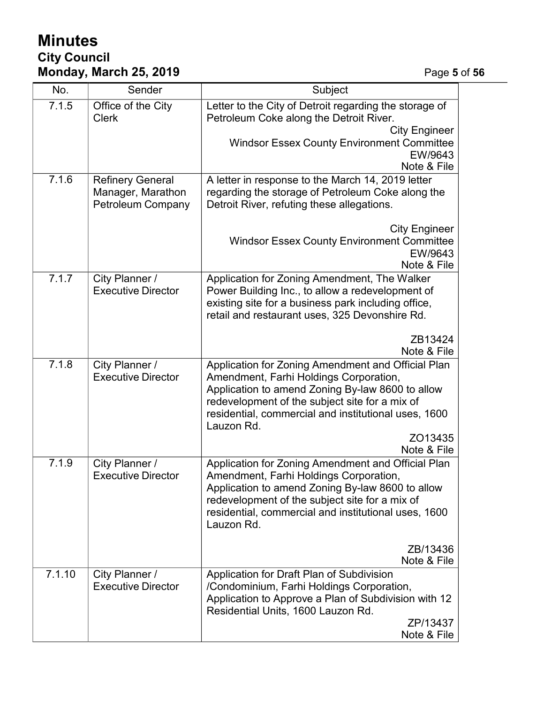## **Minutes City Council Monday, March 25, 2019** Page **5** of **56**

| No.    | Sender                                                                   | Subject                                                                                                                                                                                                                                                                                            |
|--------|--------------------------------------------------------------------------|----------------------------------------------------------------------------------------------------------------------------------------------------------------------------------------------------------------------------------------------------------------------------------------------------|
| 7.1.5  | Office of the City<br><b>Clerk</b>                                       | Letter to the City of Detroit regarding the storage of<br>Petroleum Coke along the Detroit River.<br><b>City Engineer</b>                                                                                                                                                                          |
|        |                                                                          | <b>Windsor Essex County Environment Committee</b><br>EW/9643<br>Note & File                                                                                                                                                                                                                        |
| 7.1.6  | <b>Refinery General</b><br>Manager, Marathon<br><b>Petroleum Company</b> | A letter in response to the March 14, 2019 letter<br>regarding the storage of Petroleum Coke along the<br>Detroit River, refuting these allegations.                                                                                                                                               |
|        |                                                                          | <b>City Engineer</b><br><b>Windsor Essex County Environment Committee</b><br>EW/9643<br>Note & File                                                                                                                                                                                                |
| 7.1.7  | City Planner /<br><b>Executive Director</b>                              | Application for Zoning Amendment, The Walker<br>Power Building Inc., to allow a redevelopment of<br>existing site for a business park including office,<br>retail and restaurant uses, 325 Devonshire Rd.                                                                                          |
|        |                                                                          | ZB13424<br>Note & File                                                                                                                                                                                                                                                                             |
| 7.1.8  | City Planner /<br><b>Executive Director</b>                              | Application for Zoning Amendment and Official Plan<br>Amendment, Farhi Holdings Corporation,<br>Application to amend Zoning By-law 8600 to allow<br>redevelopment of the subject site for a mix of<br>residential, commercial and institutional uses, 1600<br>Lauzon Rd.<br>ZO13435<br>Note & File |
| 7.1.9  | City Planner /<br><b>Executive Director</b>                              | Application for Zoning Amendment and Official Plan<br>Amendment, Farhi Holdings Corporation,<br>Application to amend Zoning By-law 8600 to allow<br>redevelopment of the subject site for a mix of<br>residential, commercial and institutional uses, 1600<br>Lauzon Rd.                           |
|        |                                                                          | ZB/13436<br>Note & File                                                                                                                                                                                                                                                                            |
| 7.1.10 | City Planner /<br><b>Executive Director</b>                              | Application for Draft Plan of Subdivision<br>/Condominium, Farhi Holdings Corporation,<br>Application to Approve a Plan of Subdivision with 12<br>Residential Units, 1600 Lauzon Rd.<br>ZP/13437<br>Note & File                                                                                    |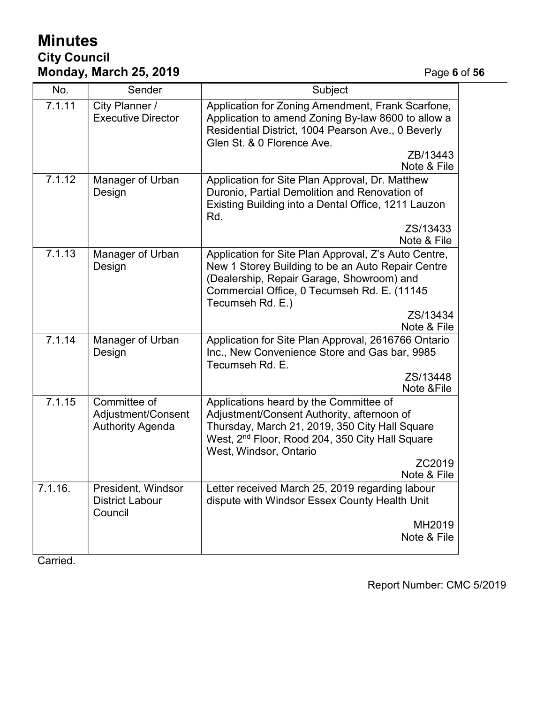## **Minutes City Council Monday, March 25, 2019** Page **6** of **56**

| No.     | Sender                                                        | Subject                                                                                                                                                                                                                                                  |
|---------|---------------------------------------------------------------|----------------------------------------------------------------------------------------------------------------------------------------------------------------------------------------------------------------------------------------------------------|
| 7.1.11  | City Planner /<br><b>Executive Director</b>                   | Application for Zoning Amendment, Frank Scarfone,<br>Application to amend Zoning By-law 8600 to allow a<br>Residential District, 1004 Pearson Ave., 0 Beverly<br>Glen St. & 0 Florence Ave.                                                              |
|         |                                                               | ZB/13443<br>Note & File                                                                                                                                                                                                                                  |
| 7.1.12  | Manager of Urban<br>Design                                    | Application for Site Plan Approval, Dr. Matthew<br>Duronio, Partial Demolition and Renovation of<br>Existing Building into a Dental Office, 1211 Lauzon<br>Rd.                                                                                           |
|         |                                                               | ZS/13433<br>Note & File                                                                                                                                                                                                                                  |
| 7.1.13  | Manager of Urban<br>Design                                    | Application for Site Plan Approval, Z's Auto Centre,<br>New 1 Storey Building to be an Auto Repair Centre<br>(Dealership, Repair Garage, Showroom) and<br>Commercial Office, 0 Tecumseh Rd. E. (11145<br>Tecumseh Rd. E.)                                |
|         |                                                               | ZS/13434<br>Note & File                                                                                                                                                                                                                                  |
| 7.1.14  | Manager of Urban<br>Design                                    | Application for Site Plan Approval, 2616766 Ontario<br>Inc., New Convenience Store and Gas bar, 9985<br>Tecumseh Rd. E.                                                                                                                                  |
|         |                                                               | ZS/13448<br>Note & File                                                                                                                                                                                                                                  |
| 7.1.15  | Committee of<br>Adjustment/Consent<br><b>Authority Agenda</b> | Applications heard by the Committee of<br>Adjustment/Consent Authority, afternoon of<br>Thursday, March 21, 2019, 350 City Hall Square<br>West, 2 <sup>nd</sup> Floor, Rood 204, 350 City Hall Square<br>West, Windsor, Ontario<br>ZC2019<br>Note & File |
| 7.1.16. | President, Windsor<br><b>District Labour</b><br>Council       | Letter received March 25, 2019 regarding labour<br>dispute with Windsor Essex County Health Unit<br>MH2019<br>Note & File                                                                                                                                |

Carried.

Report Number: CMC 5/2019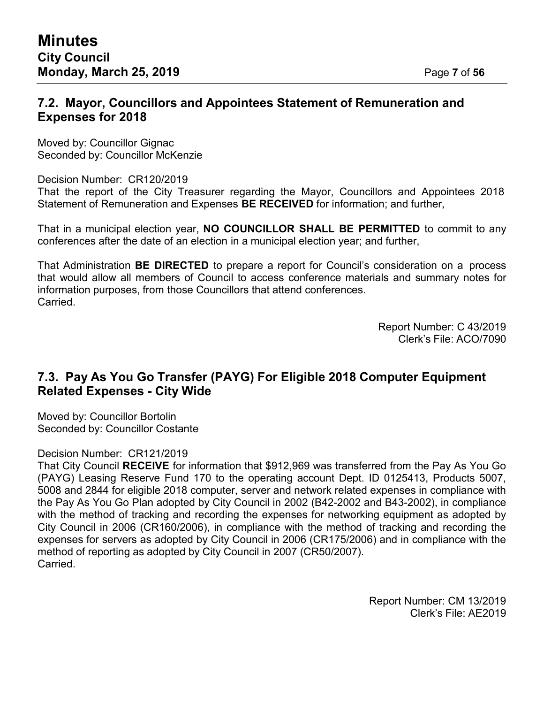#### **7.2. Mayor, Councillors and Appointees Statement of Remuneration and Expenses for 2018**

Moved by: Councillor Gignac Seconded by: Councillor McKenzie

Decision Number: CR120/2019

That the report of the City Treasurer regarding the Mayor, Councillors and Appointees 2018 Statement of Remuneration and Expenses **BE RECEIVED** for information; and further,

That in a municipal election year, **NO COUNCILLOR SHALL BE PERMITTED** to commit to any conferences after the date of an election in a municipal election year; and further,

That Administration **BE DIRECTED** to prepare a report for Council's consideration on a process that would allow all members of Council to access conference materials and summary notes for information purposes, from those Councillors that attend conferences. Carried.

> Report Number: C 43/2019 Clerk's File: ACO/7090

## **7.3. Pay As You Go Transfer (PAYG) For Eligible 2018 Computer Equipment Related Expenses - City Wide**

Moved by: Councillor Bortolin Seconded by: Councillor Costante

#### Decision Number: CR121/2019

That City Council **RECEIVE** for information that \$912,969 was transferred from the Pay As You Go (PAYG) Leasing Reserve Fund 170 to the operating account Dept. ID 0125413, Products 5007, 5008 and 2844 for eligible 2018 computer, server and network related expenses in compliance with the Pay As You Go Plan adopted by City Council in 2002 (B42-2002 and B43-2002), in compliance with the method of tracking and recording the expenses for networking equipment as adopted by City Council in 2006 (CR160/2006), in compliance with the method of tracking and recording the expenses for servers as adopted by City Council in 2006 (CR175/2006) and in compliance with the method of reporting as adopted by City Council in 2007 (CR50/2007). Carried.

> Report Number: CM 13/2019 Clerk's File: AE2019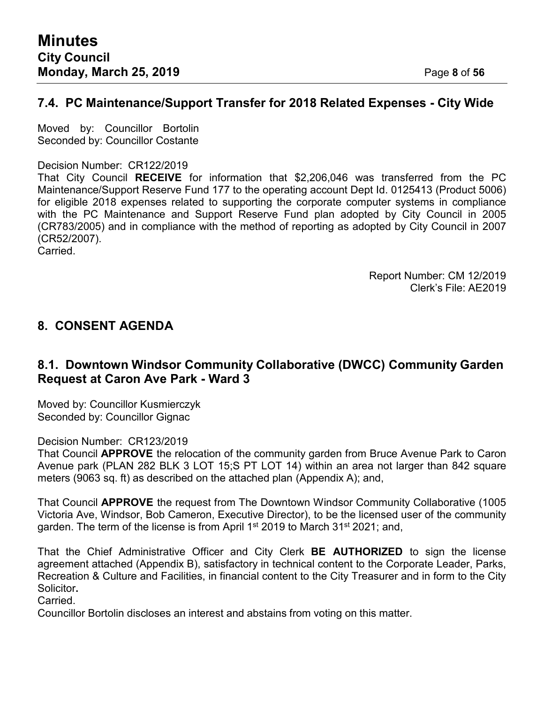## **7.4. PC Maintenance/Support Transfer for 2018 Related Expenses - City Wide**

Moved by: Councillor Bortolin Seconded by: Councillor Costante

#### Decision Number: CR122/2019

That City Council **RECEIVE** for information that \$2,206,046 was transferred from the PC Maintenance/Support Reserve Fund 177 to the operating account Dept Id. 0125413 (Product 5006) for eligible 2018 expenses related to supporting the corporate computer systems in compliance with the PC Maintenance and Support Reserve Fund plan adopted by City Council in 2005 (CR783/2005) and in compliance with the method of reporting as adopted by City Council in 2007 (CR52/2007).

Carried.

Report Number: CM 12/2019 Clerk's File: AE2019

## **8. CONSENT AGENDA**

## **8.1. Downtown Windsor Community Collaborative (DWCC) Community Garden Request at Caron Ave Park - Ward 3**

Moved by: Councillor Kusmierczyk Seconded by: Councillor Gignac

Decision Number: CR123/2019

That Council **APPROVE** the relocation of the community garden from Bruce Avenue Park to Caron Avenue park (PLAN 282 BLK 3 LOT 15;S PT LOT 14) within an area not larger than 842 square meters (9063 sq. ft) as described on the attached plan (Appendix A); and,

That Council **APPROVE** the request from The Downtown Windsor Community Collaborative (1005 Victoria Ave, Windsor, Bob Cameron, Executive Director), to be the licensed user of the community garden. The term of the license is from April 1<sup>st</sup> 2019 to March 31<sup>st</sup> 2021; and,

That the Chief Administrative Officer and City Clerk **BE AUTHORIZED** to sign the license agreement attached (Appendix B), satisfactory in technical content to the Corporate Leader, Parks, Recreation & Culture and Facilities, in financial content to the City Treasurer and in form to the City Solicitor**.**

Carried.

Councillor Bortolin discloses an interest and abstains from voting on this matter.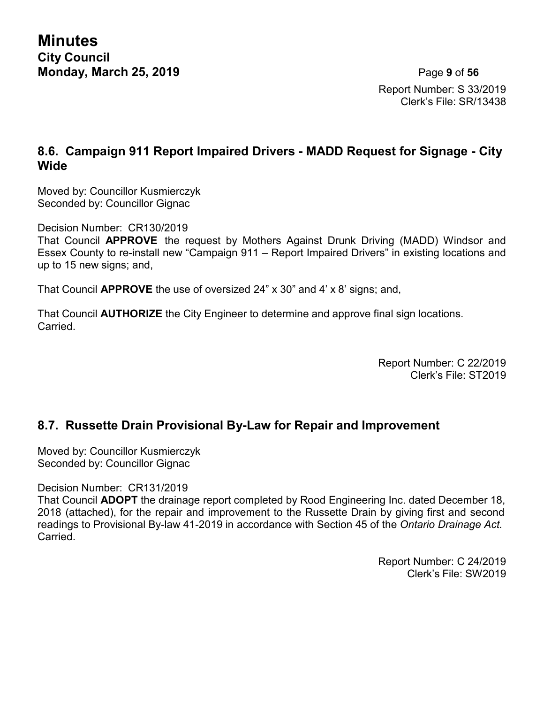**Minutes City Council Monday, March 25, 2019** Page **9** of **56**

Report Number: S 33/2019 Clerk's File: SR/13438

## **8.6. Campaign 911 Report Impaired Drivers - MADD Request for Signage - City Wide**

Moved by: Councillor Kusmierczyk Seconded by: Councillor Gignac

Decision Number: CR130/2019

That Council **APPROVE** the request by Mothers Against Drunk Driving (MADD) Windsor and Essex County to re-install new "Campaign 911 – Report Impaired Drivers" in existing locations and up to 15 new signs; and,

That Council **APPROVE** the use of oversized 24" x 30" and 4' x 8' signs; and,

That Council **AUTHORIZE** the City Engineer to determine and approve final sign locations. Carried.

> Report Number: C 22/2019 Clerk's File: ST2019

#### **8.7. Russette Drain Provisional By-Law for Repair and Improvement**

Moved by: Councillor Kusmierczyk Seconded by: Councillor Gignac

Decision Number: CR131/2019

That Council **ADOPT** the drainage report completed by Rood Engineering Inc. dated December 18, 2018 (attached), for the repair and improvement to the Russette Drain by giving first and second readings to Provisional By-law 41-2019 in accordance with Section 45 of the *Ontario Drainage Act.* Carried.

> Report Number: C 24/2019 Clerk's File: SW2019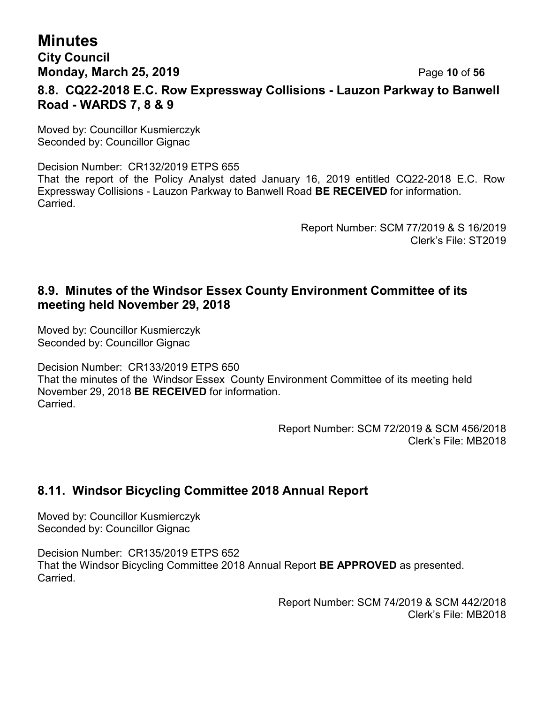## **Minutes City Council Monday, March 25, 2019** Page **10** of **56 8.8. CQ22-2018 E.C. Row Expressway Collisions - Lauzon Parkway to Banwell Road - WARDS 7, 8 & 9**

Moved by: Councillor Kusmierczyk Seconded by: Councillor Gignac

Decision Number: CR132/2019 ETPS 655 That the report of the Policy Analyst dated January 16, 2019 entitled CQ22-2018 E.C. Row Expressway Collisions - Lauzon Parkway to Banwell Road **BE RECEIVED** for information. Carried.

> Report Number: SCM 77/2019 & S 16/2019 Clerk's File: ST2019

## **8.9. Minutes of the Windsor Essex County Environment Committee of its meeting held November 29, 2018**

Moved by: Councillor Kusmierczyk Seconded by: Councillor Gignac

Decision Number: CR133/2019 ETPS 650 That the minutes of the Windsor Essex County Environment Committee of its meeting held November 29, 2018 **BE RECEIVED** for information. Carried.

> Report Number: SCM 72/2019 & SCM 456/2018 Clerk's File: MB2018

## **8.11. Windsor Bicycling Committee 2018 Annual Report**

Moved by: Councillor Kusmierczyk Seconded by: Councillor Gignac

Decision Number: CR135/2019 ETPS 652 That the Windsor Bicycling Committee 2018 Annual Report **BE APPROVED** as presented. **Carried** 

> Report Number: SCM 74/2019 & SCM 442/2018 Clerk's File: MB2018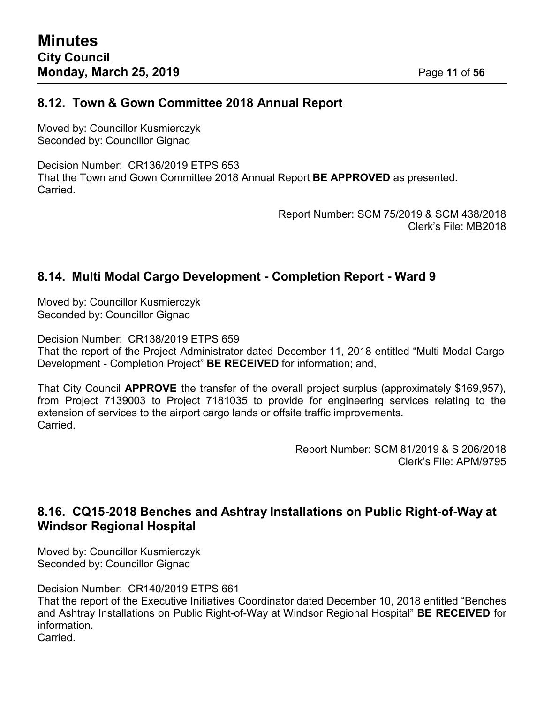#### **8.12. Town & Gown Committee 2018 Annual Report**

Moved by: Councillor Kusmierczyk Seconded by: Councillor Gignac

Decision Number: CR136/2019 ETPS 653 That the Town and Gown Committee 2018 Annual Report **BE APPROVED** as presented. **Carried** 

> Report Number: SCM 75/2019 & SCM 438/2018 Clerk's File: MB2018

#### **8.14. Multi Modal Cargo Development - Completion Report - Ward 9**

Moved by: Councillor Kusmierczyk Seconded by: Councillor Gignac

Decision Number: CR138/2019 ETPS 659 That the report of the Project Administrator dated December 11, 2018 entitled "Multi Modal Cargo Development - Completion Project" **BE RECEIVED** for information; and,

That City Council **APPROVE** the transfer of the overall project surplus (approximately \$169,957), from Project 7139003 to Project 7181035 to provide for engineering services relating to the extension of services to the airport cargo lands or offsite traffic improvements. Carried.

> Report Number: SCM 81/2019 & S 206/2018 Clerk's File: APM/9795

## **8.16. CQ15-2018 Benches and Ashtray Installations on Public Right-of-Way at Windsor Regional Hospital**

Moved by: Councillor Kusmierczyk Seconded by: Councillor Gignac

Decision Number: CR140/2019 ETPS 661

That the report of the Executive Initiatives Coordinator dated December 10, 2018 entitled "Benches and Ashtray Installations on Public Right-of-Way at Windsor Regional Hospital" **BE RECEIVED** for information.

Carried.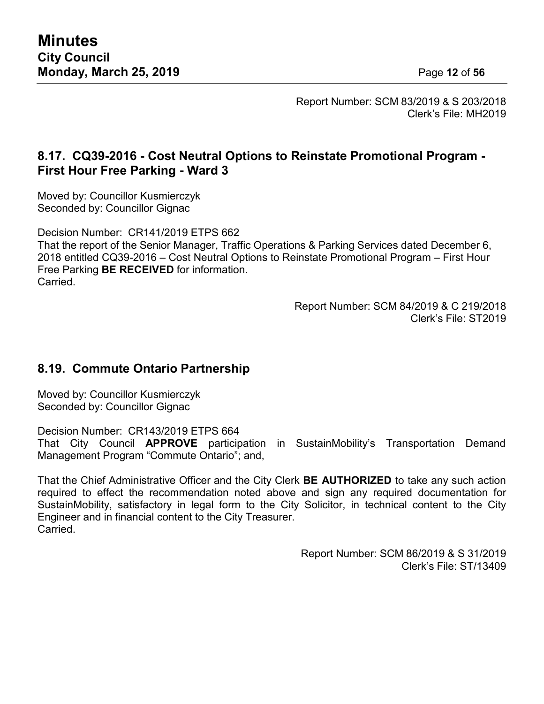Report Number: SCM 83/2019 & S 203/2018 Clerk's File: MH2019

## **8.17. CQ39-2016 - Cost Neutral Options to Reinstate Promotional Program - First Hour Free Parking - Ward 3**

Moved by: Councillor Kusmierczyk Seconded by: Councillor Gignac

Decision Number: CR141/2019 ETPS 662

That the report of the Senior Manager, Traffic Operations & Parking Services dated December 6, 2018 entitled CQ39-2016 – Cost Neutral Options to Reinstate Promotional Program – First Hour Free Parking **BE RECEIVED** for information. **Carried** 

> Report Number: SCM 84/2019 & C 219/2018 Clerk's File: ST2019

## **8.19. Commute Ontario Partnership**

Moved by: Councillor Kusmierczyk Seconded by: Councillor Gignac

Decision Number: CR143/2019 ETPS 664 That City Council **APPROVE** participation in SustainMobility's Transportation Demand Management Program "Commute Ontario"; and,

That the Chief Administrative Officer and the City Clerk **BE AUTHORIZED** to take any such action required to effect the recommendation noted above and sign any required documentation for SustainMobility, satisfactory in legal form to the City Solicitor, in technical content to the City Engineer and in financial content to the City Treasurer. **Carried** 

> Report Number: SCM 86/2019 & S 31/2019 Clerk's File: ST/13409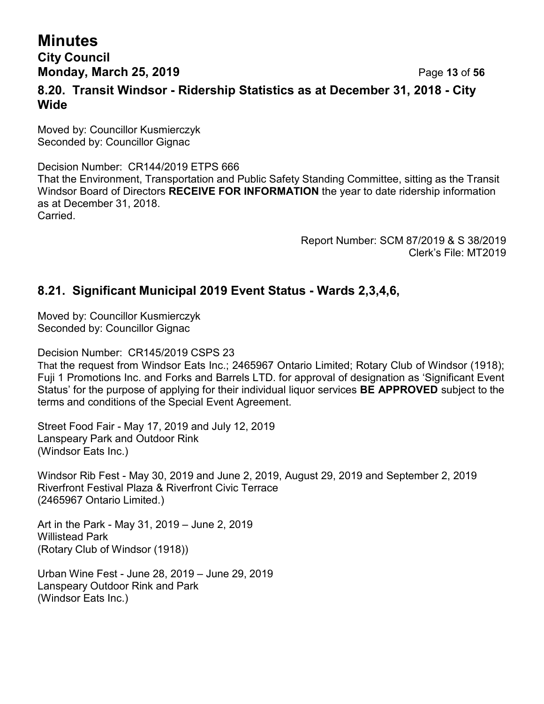## **Minutes City Council Monday, March 25, 2019** Page **13** of **56 8.20. Transit Windsor - Ridership Statistics as at December 31, 2018 - City Wide**

Moved by: Councillor Kusmierczyk Seconded by: Councillor Gignac

Decision Number: CR144/2019 ETPS 666 That the Environment, Transportation and Public Safety Standing Committee, sitting as the Transit Windsor Board of Directors **RECEIVE FOR INFORMATION** the year to date ridership information as at December 31, 2018. Carried.

> Report Number: SCM 87/2019 & S 38/2019 Clerk's File: MT2019

## **8.21. Significant Municipal 2019 Event Status - Wards 2,3,4,6,**

Moved by: Councillor Kusmierczyk Seconded by: Councillor Gignac

Decision Number: CR145/2019 CSPS 23

That the request from Windsor Eats Inc.; 2465967 Ontario Limited; Rotary Club of Windsor (1918); Fuji 1 Promotions Inc. and Forks and Barrels LTD. for approval of designation as 'Significant Event Status' for the purpose of applying for their individual liquor services **BE APPROVED** subject to the terms and conditions of the Special Event Agreement.

Street Food Fair - May 17, 2019 and July 12, 2019 Lanspeary Park and Outdoor Rink (Windsor Eats Inc.)

Windsor Rib Fest - May 30, 2019 and June 2, 2019, August 29, 2019 and September 2, 2019 Riverfront Festival Plaza & Riverfront Civic Terrace (2465967 Ontario Limited.)

Art in the Park - May 31, 2019 – June 2, 2019 Willistead Park (Rotary Club of Windsor (1918))

Urban Wine Fest - June 28, 2019 – June 29, 2019 Lanspeary Outdoor Rink and Park (Windsor Eats Inc.)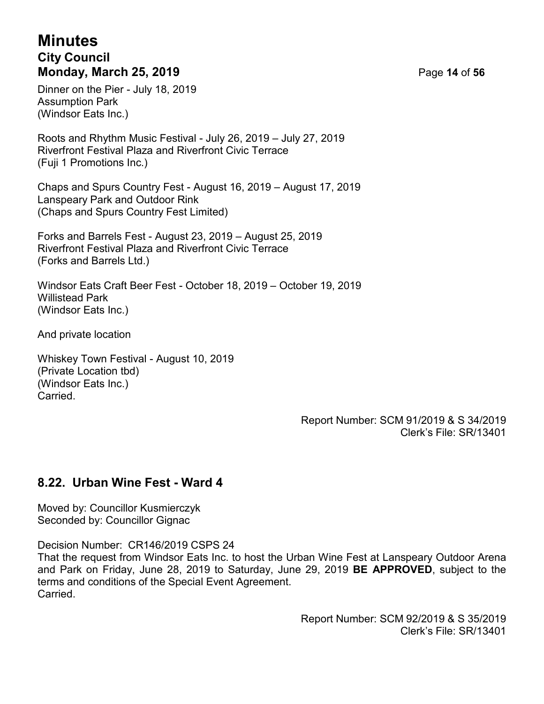## **Minutes City Council Monday, March 25, 2019** Page **14** of **56**

Dinner on the Pier - July 18, 2019 Assumption Park (Windsor Eats Inc.)

Roots and Rhythm Music Festival - July 26, 2019 – July 27, 2019 Riverfront Festival Plaza and Riverfront Civic Terrace (Fuji 1 Promotions Inc.)

Chaps and Spurs Country Fest - August 16, 2019 – August 17, 2019 Lanspeary Park and Outdoor Rink (Chaps and Spurs Country Fest Limited)

Forks and Barrels Fest - August 23, 2019 – August 25, 2019 Riverfront Festival Plaza and Riverfront Civic Terrace (Forks and Barrels Ltd.)

Windsor Eats Craft Beer Fest - October 18, 2019 – October 19, 2019 Willistead Park (Windsor Eats Inc.)

And private location

Whiskey Town Festival - August 10, 2019 (Private Location tbd) (Windsor Eats Inc.) **Carried** 

> Report Number: SCM 91/2019 & S 34/2019 Clerk's File: SR/13401

## **8.22. Urban Wine Fest - Ward 4**

Moved by: Councillor Kusmierczyk Seconded by: Councillor Gignac

Decision Number: CR146/2019 CSPS 24

That the request from Windsor Eats Inc. to host the Urban Wine Fest at Lanspeary Outdoor Arena and Park on Friday, June 28, 2019 to Saturday, June 29, 2019 **BE APPROVED**, subject to the terms and conditions of the Special Event Agreement. Carried.

> Report Number: SCM 92/2019 & S 35/2019 Clerk's File: SR/13401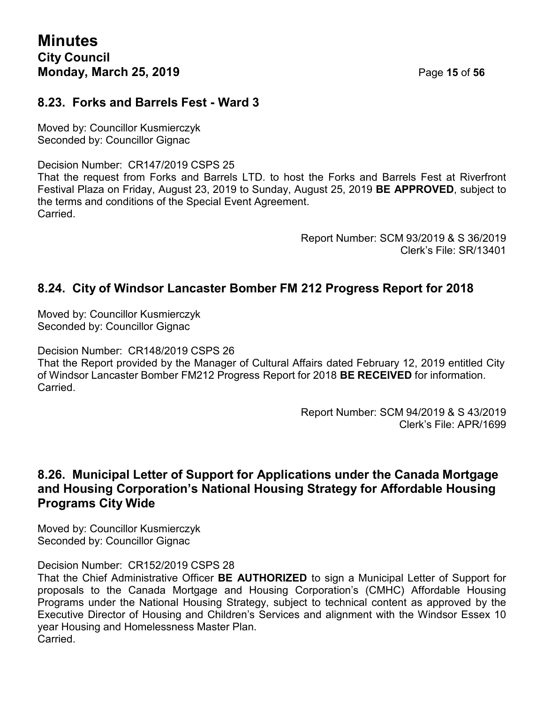#### **8.23. Forks and Barrels Fest - Ward 3**

Moved by: Councillor Kusmierczyk Seconded by: Councillor Gignac

Decision Number: CR147/2019 CSPS 25

That the request from Forks and Barrels LTD. to host the Forks and Barrels Fest at Riverfront Festival Plaza on Friday, August 23, 2019 to Sunday, August 25, 2019 **BE APPROVED**, subject to the terms and conditions of the Special Event Agreement. **Carried** 

> Report Number: SCM 93/2019 & S 36/2019 Clerk's File: SR/13401

#### **8.24. City of Windsor Lancaster Bomber FM 212 Progress Report for 2018**

Moved by: Councillor Kusmierczyk Seconded by: Councillor Gignac

Decision Number: CR148/2019 CSPS 26

That the Report provided by the Manager of Cultural Affairs dated February 12, 2019 entitled City of Windsor Lancaster Bomber FM212 Progress Report for 2018 **BE RECEIVED** for information. Carried.

> Report Number: SCM 94/2019 & S 43/2019 Clerk's File: APR/1699

#### **8.26. Municipal Letter of Support for Applications under the Canada Mortgage and Housing Corporation's National Housing Strategy for Affordable Housing Programs City Wide**

Moved by: Councillor Kusmierczyk Seconded by: Councillor Gignac

Decision Number: CR152/2019 CSPS 28

That the Chief Administrative Officer **BE AUTHORIZED** to sign a Municipal Letter of Support for proposals to the Canada Mortgage and Housing Corporation's (CMHC) Affordable Housing Programs under the National Housing Strategy, subject to technical content as approved by the Executive Director of Housing and Children's Services and alignment with the Windsor Essex 10 year Housing and Homelessness Master Plan. **Carried**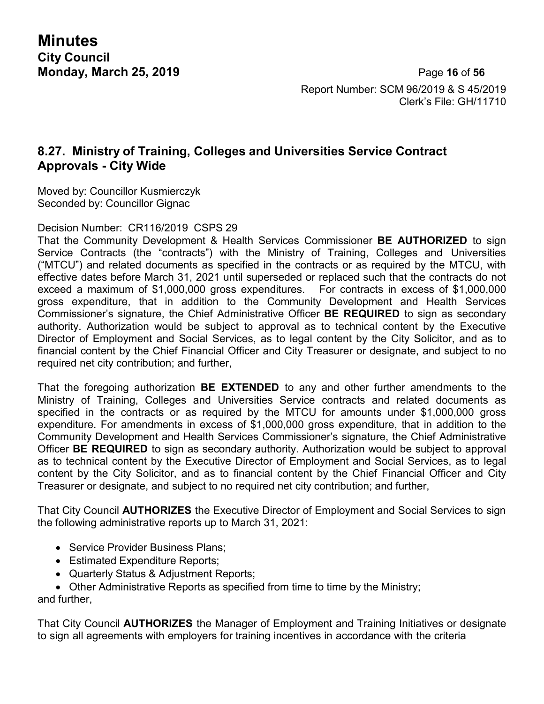**Minutes City Council**

**Monday, March 25, 2019** Page **16** of **56** Report Number: SCM 96/2019 & S 45/2019 Clerk's File: GH/11710

## **8.27. Ministry of Training, Colleges and Universities Service Contract Approvals - City Wide**

Moved by: Councillor Kusmierczyk Seconded by: Councillor Gignac

Decision Number: CR116/2019 CSPS 29

That the Community Development & Health Services Commissioner **BE AUTHORIZED** to sign Service Contracts (the "contracts") with the Ministry of Training, Colleges and Universities ("MTCU") and related documents as specified in the contracts or as required by the MTCU, with effective dates before March 31, 2021 until superseded or replaced such that the contracts do not exceed a maximum of \$1,000,000 gross expenditures. For contracts in excess of \$1,000,000 gross expenditure, that in addition to the Community Development and Health Services Commissioner's signature, the Chief Administrative Officer **BE REQUIRED** to sign as secondary authority. Authorization would be subject to approval as to technical content by the Executive Director of Employment and Social Services, as to legal content by the City Solicitor, and as to financial content by the Chief Financial Officer and City Treasurer or designate, and subject to no required net city contribution; and further,

That the foregoing authorization **BE EXTENDED** to any and other further amendments to the Ministry of Training, Colleges and Universities Service contracts and related documents as specified in the contracts or as required by the MTCU for amounts under \$1,000,000 gross expenditure. For amendments in excess of \$1,000,000 gross expenditure, that in addition to the Community Development and Health Services Commissioner's signature, the Chief Administrative Officer **BE REQUIRED** to sign as secondary authority. Authorization would be subject to approval as to technical content by the Executive Director of Employment and Social Services, as to legal content by the City Solicitor, and as to financial content by the Chief Financial Officer and City Treasurer or designate, and subject to no required net city contribution; and further,

That City Council **AUTHORIZES** the Executive Director of Employment and Social Services to sign the following administrative reports up to March 31, 2021:

- Service Provider Business Plans;
- Estimated Expenditure Reports;
- Quarterly Status & Adjustment Reports;
- Other Administrative Reports as specified from time to time by the Ministry;

and further,

That City Council **AUTHORIZES** the Manager of Employment and Training Initiatives or designate to sign all agreements with employers for training incentives in accordance with the criteria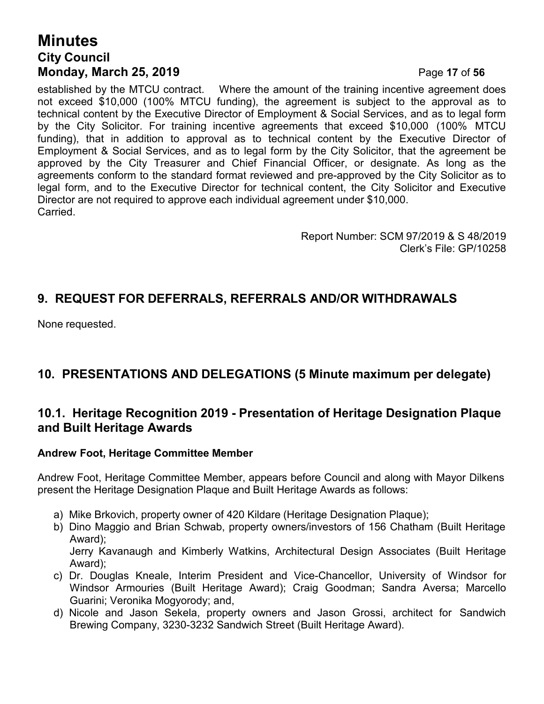## **Minutes City Council Monday, March 25, 2019** Page **17** of **56**

established by the MTCU contract. Where the amount of the training incentive agreement does not exceed \$10,000 (100% MTCU funding), the agreement is subject to the approval as to technical content by the Executive Director of Employment & Social Services, and as to legal form by the City Solicitor. For training incentive agreements that exceed \$10,000 (100% MTCU funding), that in addition to approval as to technical content by the Executive Director of Employment & Social Services, and as to legal form by the City Solicitor, that the agreement be approved by the City Treasurer and Chief Financial Officer, or designate. As long as the agreements conform to the standard format reviewed and pre-approved by the City Solicitor as to legal form, and to the Executive Director for technical content, the City Solicitor and Executive Director are not required to approve each individual agreement under \$10,000. Carried.

> Report Number: SCM 97/2019 & S 48/2019 Clerk's File: GP/10258

## **9. REQUEST FOR DEFERRALS, REFERRALS AND/OR WITHDRAWALS**

None requested.

## **10. PRESENTATIONS AND DELEGATIONS (5 Minute maximum per delegate)**

#### **10.1. Heritage Recognition 2019 - Presentation of Heritage Designation Plaque and Built Heritage Awards**

#### **Andrew Foot, Heritage Committee Member**

Andrew Foot, Heritage Committee Member, appears before Council and along with Mayor Dilkens present the Heritage Designation Plaque and Built Heritage Awards as follows:

- a) Mike Brkovich, property owner of 420 Kildare (Heritage Designation Plaque);
- b) Dino Maggio and Brian Schwab, property owners/investors of 156 Chatham (Built Heritage Award); Jerry Kavanaugh and Kimberly Watkins, Architectural Design Associates (Built Heritage Award);
- c) Dr. Douglas Kneale, Interim President and Vice-Chancellor, University of Windsor for Windsor Armouries (Built Heritage Award); Craig Goodman; Sandra Aversa; Marcello Guarini; Veronika Mogyorody; and,
- d) Nicole and Jason Sekela, property owners and Jason Grossi, architect for Sandwich Brewing Company, 3230-3232 Sandwich Street (Built Heritage Award).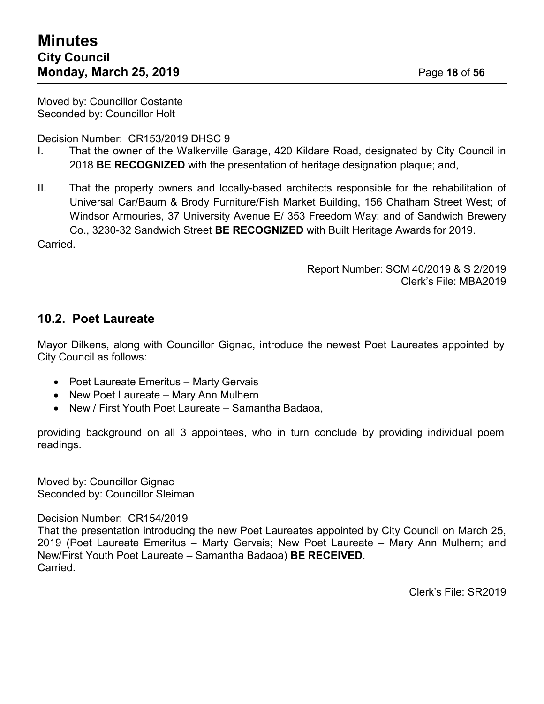Moved by: Councillor Costante Seconded by: Councillor Holt

Decision Number: CR153/2019 DHSC 9

- I. That the owner of the Walkerville Garage, 420 Kildare Road, designated by City Council in 2018 **BE RECOGNIZED** with the presentation of heritage designation plaque; and,
- II. That the property owners and locally-based architects responsible for the rehabilitation of Universal Car/Baum & Brody Furniture/Fish Market Building, 156 Chatham Street West; of Windsor Armouries, 37 University Avenue E/ 353 Freedom Way; and of Sandwich Brewery Co., 3230-32 Sandwich Street **BE RECOGNIZED** with Built Heritage Awards for 2019.

Carried.

Report Number: SCM 40/2019 & S 2/2019 Clerk's File: MBA2019

#### **10.2. Poet Laureate**

Mayor Dilkens, along with Councillor Gignac, introduce the newest Poet Laureates appointed by City Council as follows:

- Poet Laureate Emeritus Marty Gervais
- New Poet Laureate Mary Ann Mulhern
- New / First Youth Poet Laureate Samantha Badaoa,

providing background on all 3 appointees, who in turn conclude by providing individual poem readings.

Moved by: Councillor Gignac Seconded by: Councillor Sleiman

Decision Number: CR154/2019

That the presentation introducing the new Poet Laureates appointed by City Council on March 25, 2019 (Poet Laureate Emeritus – Marty Gervais; New Poet Laureate – Mary Ann Mulhern; and New/First Youth Poet Laureate – Samantha Badaoa) **BE RECEIVED**. Carried.

Clerk's File: SR2019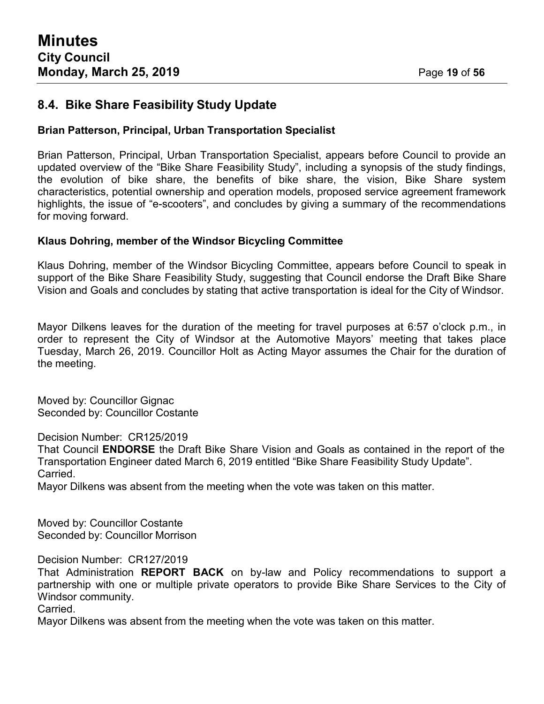## **8.4. Bike Share Feasibility Study Update**

#### **Brian Patterson, Principal, Urban Transportation Specialist**

Brian Patterson, Principal, Urban Transportation Specialist, appears before Council to provide an updated overview of the "Bike Share Feasibility Study", including a synopsis of the study findings, the evolution of bike share, the benefits of bike share, the vision, Bike Share system characteristics, potential ownership and operation models, proposed service agreement framework highlights, the issue of "e-scooters", and concludes by giving a summary of the recommendations for moving forward.

#### **Klaus Dohring, member of the Windsor Bicycling Committee**

Klaus Dohring, member of the Windsor Bicycling Committee, appears before Council to speak in support of the Bike Share Feasibility Study, suggesting that Council endorse the Draft Bike Share Vision and Goals and concludes by stating that active transportation is ideal for the City of Windsor.

Mayor Dilkens leaves for the duration of the meeting for travel purposes at 6:57 o'clock p.m., in order to represent the City of Windsor at the Automotive Mayors' meeting that takes place Tuesday, March 26, 2019. Councillor Holt as Acting Mayor assumes the Chair for the duration of the meeting.

Moved by: Councillor Gignac Seconded by: Councillor Costante

Decision Number: CR125/2019

That Council **ENDORSE** the Draft Bike Share Vision and Goals as contained in the report of the Transportation Engineer dated March 6, 2019 entitled "Bike Share Feasibility Study Update". Carried.

Mayor Dilkens was absent from the meeting when the vote was taken on this matter.

Moved by: Councillor Costante Seconded by: Councillor Morrison

Decision Number: CR127/2019

That Administration **REPORT BACK** on by-law and Policy recommendations to support a partnership with one or multiple private operators to provide Bike Share Services to the City of Windsor community.

Carried.

Mayor Dilkens was absent from the meeting when the vote was taken on this matter.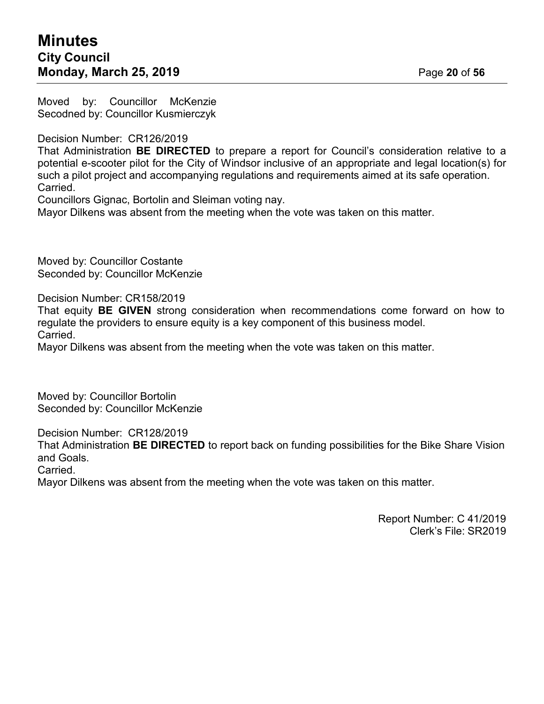Moved by: Councillor McKenzie Secodned by: Councillor Kusmierczyk

Decision Number: CR126/2019

That Administration **BE DIRECTED** to prepare a report for Council's consideration relative to a potential e-scooter pilot for the City of Windsor inclusive of an appropriate and legal location(s) for such a pilot project and accompanying regulations and requirements aimed at its safe operation. Carried.

Councillors Gignac, Bortolin and Sleiman voting nay.

Mayor Dilkens was absent from the meeting when the vote was taken on this matter.

Moved by: Councillor Costante Seconded by: Councillor McKenzie

Decision Number: CR158/2019

That equity **BE GIVEN** strong consideration when recommendations come forward on how to regulate the providers to ensure equity is a key component of this business model. Carried.

Mayor Dilkens was absent from the meeting when the vote was taken on this matter.

Moved by: Councillor Bortolin Seconded by: Councillor McKenzie

Decision Number: CR128/2019

That Administration **BE DIRECTED** to report back on funding possibilities for the Bike Share Vision and Goals.

Carried.

Mayor Dilkens was absent from the meeting when the vote was taken on this matter.

Report Number: C 41/2019 Clerk's File: SR2019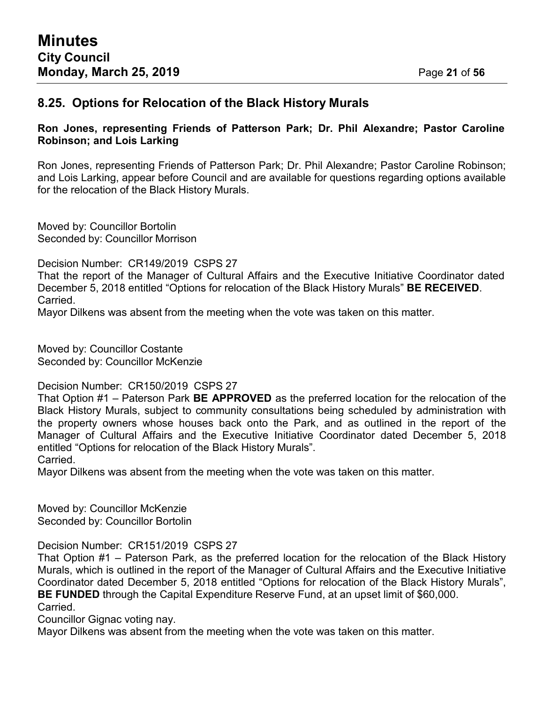#### **8.25. Options for Relocation of the Black History Murals**

#### **Ron Jones, representing Friends of Patterson Park; Dr. Phil Alexandre; Pastor Caroline Robinson; and Lois Larking**

Ron Jones, representing Friends of Patterson Park; Dr. Phil Alexandre; Pastor Caroline Robinson; and Lois Larking, appear before Council and are available for questions regarding options available for the relocation of the Black History Murals.

Moved by: Councillor Bortolin Seconded by: Councillor Morrison

Decision Number: CR149/2019 CSPS 27

That the report of the Manager of Cultural Affairs and the Executive Initiative Coordinator dated December 5, 2018 entitled "Options for relocation of the Black History Murals" **BE RECEIVED**. Carried.

Mayor Dilkens was absent from the meeting when the vote was taken on this matter.

Moved by: Councillor Costante Seconded by: Councillor McKenzie

Decision Number: CR150/2019 CSPS 27

That Option #1 – Paterson Park **BE APPROVED** as the preferred location for the relocation of the Black History Murals, subject to community consultations being scheduled by administration with the property owners whose houses back onto the Park, and as outlined in the report of the Manager of Cultural Affairs and the Executive Initiative Coordinator dated December 5, 2018 entitled "Options for relocation of the Black History Murals".

Carried.

Mayor Dilkens was absent from the meeting when the vote was taken on this matter.

Moved by: Councillor McKenzie Seconded by: Councillor Bortolin

#### Decision Number: CR151/2019 CSPS 27

That Option #1 – Paterson Park, as the preferred location for the relocation of the Black History Murals, which is outlined in the report of the Manager of Cultural Affairs and the Executive Initiative Coordinator dated December 5, 2018 entitled "Options for relocation of the Black History Murals", **BE FUNDED** through the Capital Expenditure Reserve Fund, at an upset limit of \$60,000.

Carried.

Councillor Gignac voting nay.

Mayor Dilkens was absent from the meeting when the vote was taken on this matter.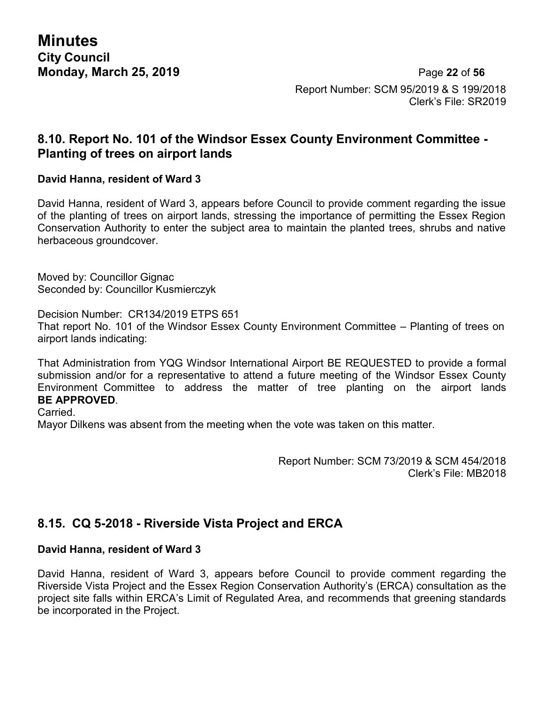**Minutes City Council**

**Monday, March 25, 2019** Page **22** of **56** Report Number: SCM 95/2019 & S 199/2018 Clerk's File: SR2019

#### **8.10. Report No. 101 of the Windsor Essex County Environment Committee - Planting of trees on airport lands**

#### **David Hanna, resident of Ward 3**

David Hanna, resident of Ward 3, appears before Council to provide comment regarding the issue of the planting of trees on airport lands, stressing the importance of permitting the Essex Region Conservation Authority to enter the subject area to maintain the planted trees, shrubs and native herbaceous groundcover.

Moved by: Councillor Gignac Seconded by: Councillor Kusmierczyk

Decision Number: CR134/2019 ETPS 651 That report No. 101 of the Windsor Essex County Environment Committee – Planting of trees on airport lands indicating:

That Administration from YQG Windsor International Airport BE REQUESTED to provide a formal submission and/or for a representative to attend a future meeting of the Windsor Essex County Environment Committee to address the matter of tree planting on the airport lands **BE APPROVED**.

Carried.

Mayor Dilkens was absent from the meeting when the vote was taken on this matter.

Report Number: SCM 73/2019 & SCM 454/2018 Clerk's File: MB2018

#### **8.15. CQ 5-2018 - Riverside Vista Project and ERCA**

#### **David Hanna, resident of Ward 3**

David Hanna, resident of Ward 3, appears before Council to provide comment regarding the Riverside Vista Project and the Essex Region Conservation Authority's (ERCA) consultation as the project site falls within ERCA's Limit of Regulated Area, and recommends that greening standards be incorporated in the Project.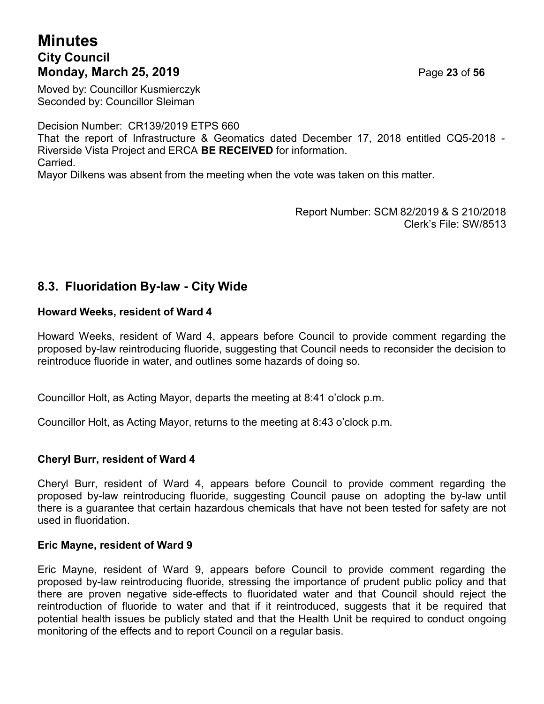## **Minutes City Council Monday, March 25, 2019** Page **23** of **56**

Moved by: Councillor Kusmierczyk Seconded by: Councillor Sleiman

Decision Number: CR139/2019 ETPS 660

That the report of Infrastructure & Geomatics dated December 17, 2018 entitled CQ5-2018 - Riverside Vista Project and ERCA **BE RECEIVED** for information. Carried.

Mayor Dilkens was absent from the meeting when the vote was taken on this matter.

Report Number: SCM 82/2019 & S 210/2018 Clerk's File: SW/8513

## **8.3. Fluoridation By-law - City Wide**

#### **Howard Weeks, resident of Ward 4**

Howard Weeks, resident of Ward 4, appears before Council to provide comment regarding the proposed by-law reintroducing fluoride, suggesting that Council needs to reconsider the decision to reintroduce fluoride in water, and outlines some hazards of doing so.

Councillor Holt, as Acting Mayor, departs the meeting at 8:41 o'clock p.m.

Councillor Holt, as Acting Mayor, returns to the meeting at 8:43 o'clock p.m.

#### **Cheryl Burr, resident of Ward 4**

Cheryl Burr, resident of Ward 4, appears before Council to provide comment regarding the proposed by-law reintroducing fluoride, suggesting Council pause on adopting the by-law until there is a guarantee that certain hazardous chemicals that have not been tested for safety are not used in fluoridation.

#### **Eric Mayne, resident of Ward 9**

Eric Mayne, resident of Ward 9, appears before Council to provide comment regarding the proposed by-law reintroducing fluoride, stressing the importance of prudent public policy and that there are proven negative side-effects to fluoridated water and that Council should reject the reintroduction of fluoride to water and that if it reintroduced, suggests that it be required that potential health issues be publicly stated and that the Health Unit be required to conduct ongoing monitoring of the effects and to report Council on a regular basis.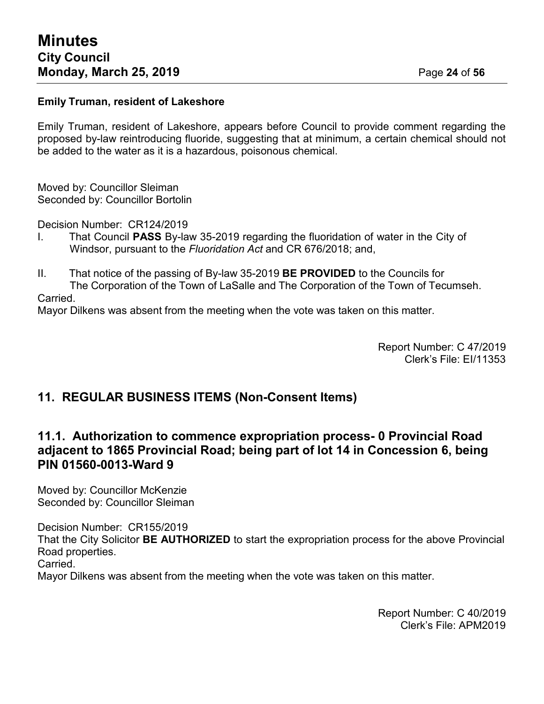#### **Emily Truman, resident of Lakeshore**

Emily Truman, resident of Lakeshore, appears before Council to provide comment regarding the proposed by-law reintroducing fluoride, suggesting that at minimum, a certain chemical should not be added to the water as it is a hazardous, poisonous chemical.

Moved by: Councillor Sleiman Seconded by: Councillor Bortolin

Decision Number: CR124/2019

- I. That Council **PASS** By-law 35-2019 regarding the fluoridation of water in the City of Windsor, pursuant to the *Fluoridation Act* and CR 676/2018; and,
- II. That notice of the passing of By-law 35-2019 **BE PROVIDED** to the Councils for The Corporation of the Town of LaSalle and The Corporation of the Town of Tecumseh. Carried.

Mayor Dilkens was absent from the meeting when the vote was taken on this matter.

Report Number: C 47/2019 Clerk's File: EI/11353

## **11. REGULAR BUSINESS ITEMS (Non-Consent Items)**

## **11.1. Authorization to commence expropriation process- 0 Provincial Road adjacent to 1865 Provincial Road; being part of lot 14 in Concession 6, being PIN 01560-0013-Ward 9**

Moved by: Councillor McKenzie Seconded by: Councillor Sleiman

Decision Number: CR155/2019 That the City Solicitor **BE AUTHORIZED** to start the expropriation process for the above Provincial Road properties. Carried.

Mayor Dilkens was absent from the meeting when the vote was taken on this matter.

Report Number: C 40/2019 Clerk's File: APM2019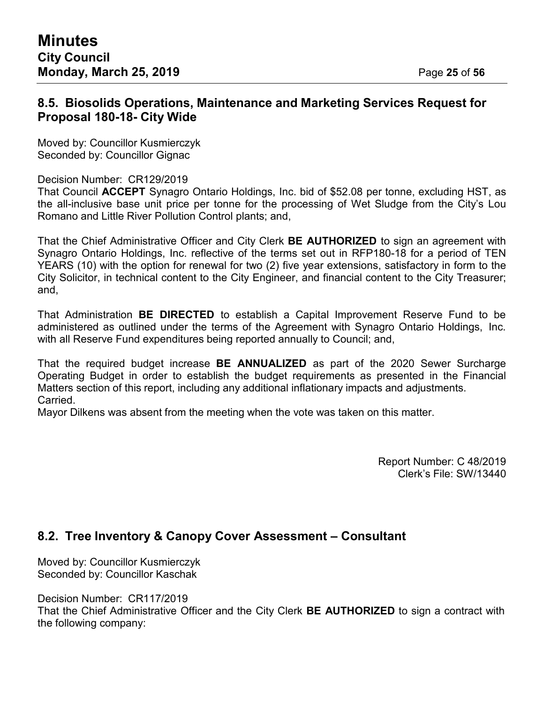#### **8.5. Biosolids Operations, Maintenance and Marketing Services Request for Proposal 180-18- City Wide**

Moved by: Councillor Kusmierczyk Seconded by: Councillor Gignac

Decision Number: CR129/2019

That Council **ACCEPT** Synagro Ontario Holdings, Inc. bid of \$52.08 per tonne, excluding HST, as the all-inclusive base unit price per tonne for the processing of Wet Sludge from the City's Lou Romano and Little River Pollution Control plants; and,

That the Chief Administrative Officer and City Clerk **BE AUTHORIZED** to sign an agreement with Synagro Ontario Holdings, Inc. reflective of the terms set out in RFP180-18 for a period of TEN YEARS (10) with the option for renewal for two (2) five year extensions, satisfactory in form to the City Solicitor, in technical content to the City Engineer, and financial content to the City Treasurer; and,

That Administration **BE DIRECTED** to establish a Capital Improvement Reserve Fund to be administered as outlined under the terms of the Agreement with Synagro Ontario Holdings, Inc. with all Reserve Fund expenditures being reported annually to Council; and,

That the required budget increase **BE ANNUALIZED** as part of the 2020 Sewer Surcharge Operating Budget in order to establish the budget requirements as presented in the Financial Matters section of this report, including any additional inflationary impacts and adjustments. Carried.

Mayor Dilkens was absent from the meeting when the vote was taken on this matter.

Report Number: C 48/2019 Clerk's File: SW/13440

## **8.2. Tree Inventory & Canopy Cover Assessment – Consultant**

Moved by: Councillor Kusmierczyk Seconded by: Councillor Kaschak

Decision Number: CR117/2019

That the Chief Administrative Officer and the City Clerk **BE AUTHORIZED** to sign a contract with the following company: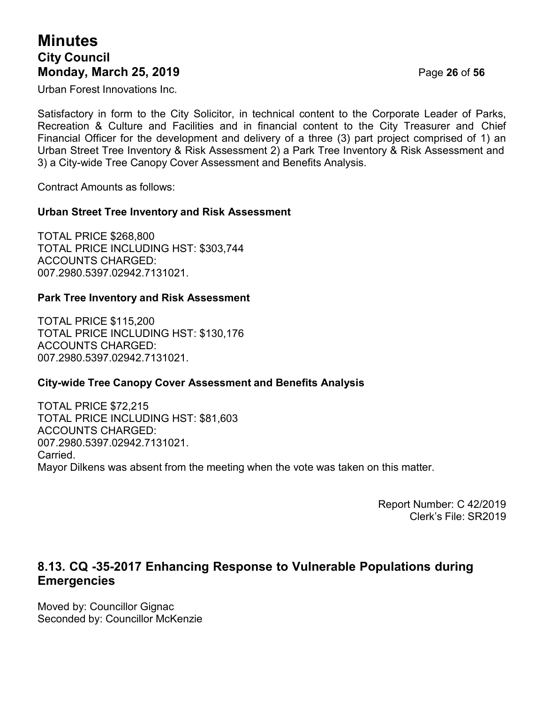## **Minutes City Council Monday, March 25, 2019** Page **26** of **56**

Urban Forest Innovations Inc.

Satisfactory in form to the City Solicitor, in technical content to the Corporate Leader of Parks, Recreation & Culture and Facilities and in financial content to the City Treasurer and Chief Financial Officer for the development and delivery of a three (3) part project comprised of 1) an Urban Street Tree Inventory & Risk Assessment 2) a Park Tree Inventory & Risk Assessment and 3) a City-wide Tree Canopy Cover Assessment and Benefits Analysis.

Contract Amounts as follows:

#### **Urban Street Tree Inventory and Risk Assessment**

TOTAL PRICE \$268,800 TOTAL PRICE INCLUDING HST: \$303,744 ACCOUNTS CHARGED: 007.2980.5397.02942.7131021.

#### **Park Tree Inventory and Risk Assessment**

TOTAL PRICE \$115,200 TOTAL PRICE INCLUDING HST: \$130,176 ACCOUNTS CHARGED: 007.2980.5397.02942.7131021.

#### **City-wide Tree Canopy Cover Assessment and Benefits Analysis**

TOTAL PRICE \$72,215 TOTAL PRICE INCLUDING HST: \$81,603 ACCOUNTS CHARGED: 007.2980.5397.02942.7131021. Carried. Mayor Dilkens was absent from the meeting when the vote was taken on this matter.

> Report Number: C 42/2019 Clerk's File: SR2019

## **8.13. CQ -35-2017 Enhancing Response to Vulnerable Populations during Emergencies**

Moved by: Councillor Gignac Seconded by: Councillor McKenzie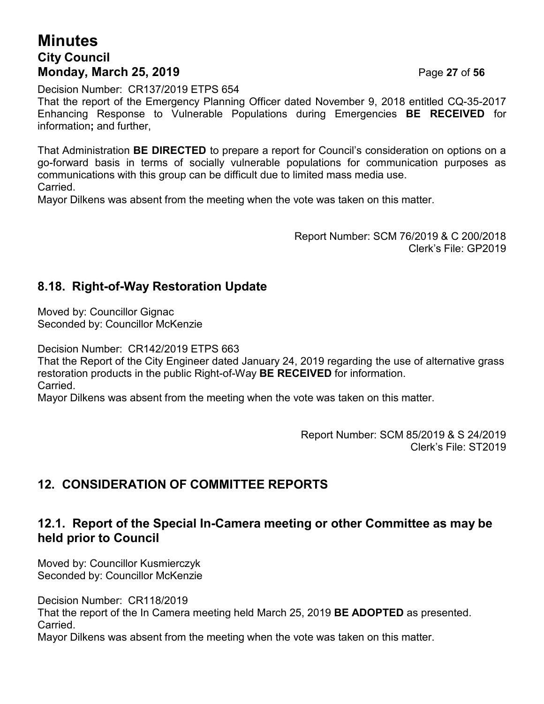## **Minutes City Council Monday, March 25, 2019** Page **27** of **56**

Decision Number: CR137/2019 ETPS 654

That the report of the Emergency Planning Officer dated November 9, 2018 entitled CQ-35-2017 Enhancing Response to Vulnerable Populations during Emergencies **BE RECEIVED** for information**;** and further,

That Administration **BE DIRECTED** to prepare a report for Council's consideration on options on a go-forward basis in terms of socially vulnerable populations for communication purposes as communications with this group can be difficult due to limited mass media use. **Carried** 

Mayor Dilkens was absent from the meeting when the vote was taken on this matter.

Report Number: SCM 76/2019 & C 200/2018 Clerk's File: GP2019

## **8.18. Right-of-Way Restoration Update**

Moved by: Councillor Gignac Seconded by: Councillor McKenzie

Decision Number: CR142/2019 ETPS 663

That the Report of the City Engineer dated January 24, 2019 regarding the use of alternative grass restoration products in the public Right-of-Way **BE RECEIVED** for information. Carried.

Mayor Dilkens was absent from the meeting when the vote was taken on this matter.

Report Number: SCM 85/2019 & S 24/2019 Clerk's File: ST2019

## **12. CONSIDERATION OF COMMITTEE REPORTS**

#### **12.1. Report of the Special In-Camera meeting or other Committee as may be held prior to Council**

Moved by: Councillor Kusmierczyk Seconded by: Councillor McKenzie

Decision Number: CR118/2019 That the report of the In Camera meeting held March 25, 2019 **BE ADOPTED** as presented. Carried.

Mayor Dilkens was absent from the meeting when the vote was taken on this matter.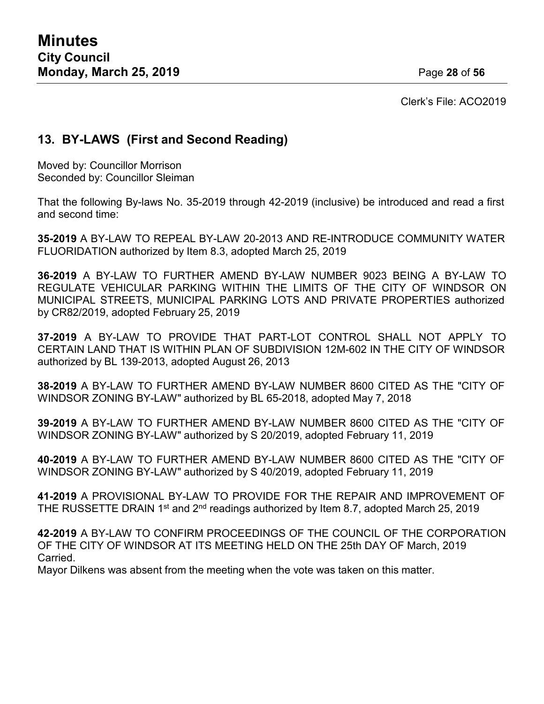Clerk's File: ACO2019

## **13. BY-LAWS (First and Second Reading)**

Moved by: Councillor Morrison Seconded by: Councillor Sleiman

That the following By-laws No. 35-2019 through 42-2019 (inclusive) be introduced and read a first and second time:

**35-2019** A BY-LAW TO REPEAL BY-LAW 20-2013 AND RE-INTRODUCE COMMUNITY WATER FLUORIDATION authorized by Item 8.3, adopted March 25, 2019

**36-2019** A BY-LAW TO FURTHER AMEND BY-LAW NUMBER 9023 BEING A BY-LAW TO REGULATE VEHICULAR PARKING WITHIN THE LIMITS OF THE CITY OF WINDSOR ON MUNICIPAL STREETS, MUNICIPAL PARKING LOTS AND PRIVATE PROPERTIES authorized by CR82/2019, adopted February 25, 2019

**37-2019** A BY-LAW TO PROVIDE THAT PART-LOT CONTROL SHALL NOT APPLY TO CERTAIN LAND THAT IS WITHIN PLAN OF SUBDIVISION 12M-602 IN THE CITY OF WINDSOR authorized by BL 139-2013, adopted August 26, 2013

**38-2019** A BY-LAW TO FURTHER AMEND BY-LAW NUMBER 8600 CITED AS THE "CITY OF WINDSOR ZONING BY-LAW" authorized by BL 65-2018, adopted May 7, 2018

**39-2019** A BY-LAW TO FURTHER AMEND BY-LAW NUMBER 8600 CITED AS THE "CITY OF WINDSOR ZONING BY-LAW" authorized by S 20/2019, adopted February 11, 2019

**40-2019** A BY-LAW TO FURTHER AMEND BY-LAW NUMBER 8600 CITED AS THE "CITY OF WINDSOR ZONING BY-LAW" authorized by S 40/2019, adopted February 11, 2019

**41-2019** A PROVISIONAL BY-LAW TO PROVIDE FOR THE REPAIR AND IMPROVEMENT OF THE RUSSETTE DRAIN 1<sup>st</sup> and 2<sup>nd</sup> readings authorized by Item 8.7, adopted March 25, 2019

**42-2019** A BY-LAW TO CONFIRM PROCEEDINGS OF THE COUNCIL OF THE CORPORATION OF THE CITY OF WINDSOR AT ITS MEETING HELD ON THE 25th DAY OF March, 2019 Carried.

Mayor Dilkens was absent from the meeting when the vote was taken on this matter.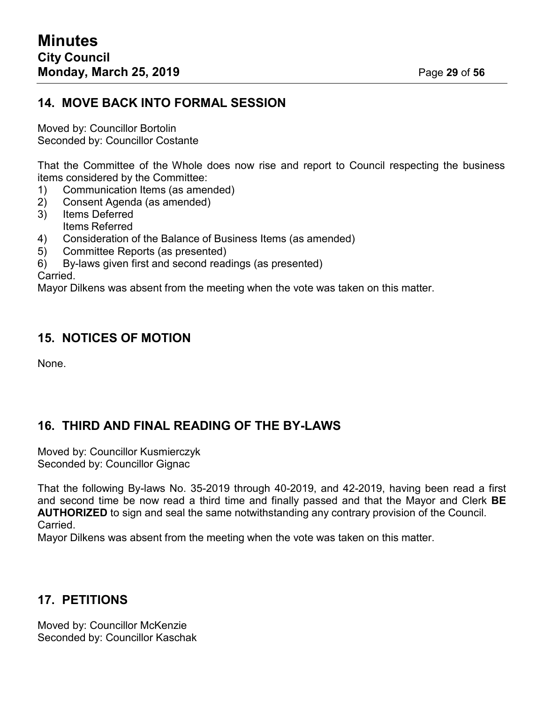#### **14. MOVE BACK INTO FORMAL SESSION**

Moved by: Councillor Bortolin Seconded by: Councillor Costante

That the Committee of the Whole does now rise and report to Council respecting the business items considered by the Committee:

- 1) Communication Items (as amended)<br>2) Consent Agenda (as amended)
- 2) Consent Agenda (as amended)
- 3) Items Deferred Items Referred
- 4) Consideration of the Balance of Business Items (as amended)
- 5) Committee Reports (as presented)
- 6) By-laws given first and second readings (as presented)

Carried.

Mayor Dilkens was absent from the meeting when the vote was taken on this matter.

#### **15. NOTICES OF MOTION**

None.

## **16. THIRD AND FINAL READING OF THE BY-LAWS**

Moved by: Councillor Kusmierczyk Seconded by: Councillor Gignac

That the following By-laws No. 35-2019 through 40-2019, and 42-2019, having been read a first and second time be now read a third time and finally passed and that the Mayor and Clerk **BE AUTHORIZED** to sign and seal the same notwithstanding any contrary provision of the Council. **Carried** 

Mayor Dilkens was absent from the meeting when the vote was taken on this matter.

## **17. PETITIONS**

Moved by: Councillor McKenzie Seconded by: Councillor Kaschak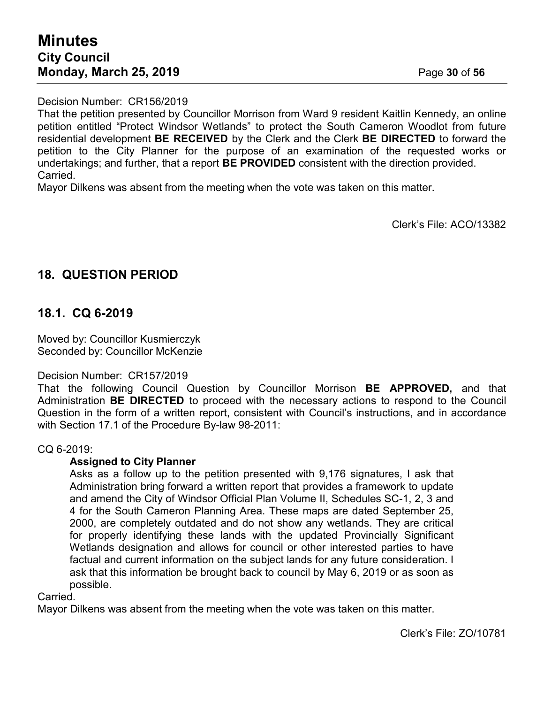That the petition presented by Councillor Morrison from Ward 9 resident Kaitlin Kennedy, an online petition entitled "Protect Windsor Wetlands" to protect the South Cameron Woodlot from future residential development **BE RECEIVED** by the Clerk and the Clerk **BE DIRECTED** to forward the petition to the City Planner for the purpose of an examination of the requested works or undertakings; and further, that a report **BE PROVIDED** consistent with the direction provided. Carried.

Mayor Dilkens was absent from the meeting when the vote was taken on this matter.

Clerk's File: ACO/13382

## **18. QUESTION PERIOD**

#### **18.1. CQ 6-2019**

Moved by: Councillor Kusmierczyk Seconded by: Councillor McKenzie

#### Decision Number: CR157/2019

That the following Council Question by Councillor Morrison **BE APPROVED,** and that Administration **BE DIRECTED** to proceed with the necessary actions to respond to the Council Question in the form of a written report, consistent with Council's instructions, and in accordance with Section 17.1 of the Procedure By-law 98-2011:

#### CQ 6-2019:

#### **Assigned to City Planner**

Asks as a follow up to the petition presented with 9,176 signatures, I ask that Administration bring forward a written report that provides a framework to update and amend the City of Windsor Official Plan Volume II, Schedules SC-1, 2, 3 and 4 for the South Cameron Planning Area. These maps are dated September 25, 2000, are completely outdated and do not show any wetlands. They are critical for properly identifying these lands with the updated Provincially Significant Wetlands designation and allows for council or other interested parties to have factual and current information on the subject lands for any future consideration. I ask that this information be brought back to council by May 6, 2019 or as soon as possible.

#### Carried.

Mayor Dilkens was absent from the meeting when the vote was taken on this matter.

Clerk's File: ZO/10781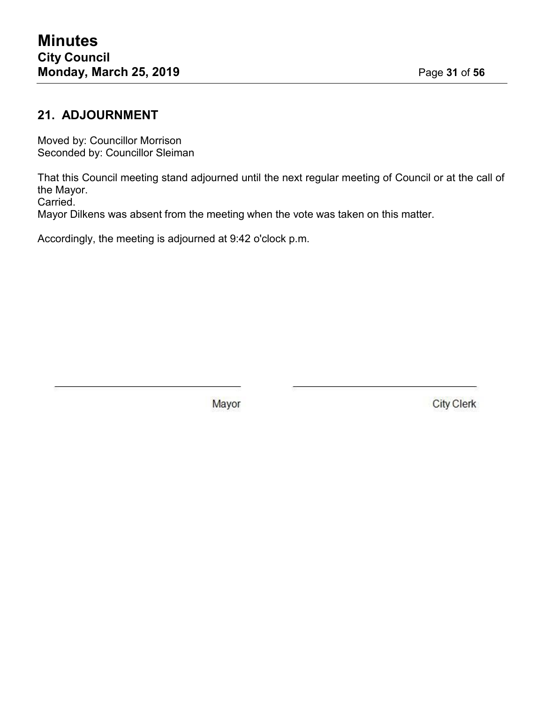## **21. ADJOURNMENT**

Moved by: Councillor Morrison Seconded by: Councillor Sleiman

That this Council meeting stand adjourned until the next regular meeting of Council or at the call of the Mayor.

Carried.

Mayor Dilkens was absent from the meeting when the vote was taken on this matter.

Accordingly, the meeting is adjourned at 9:42 o'clock p.m.

Mayor

**City Clerk**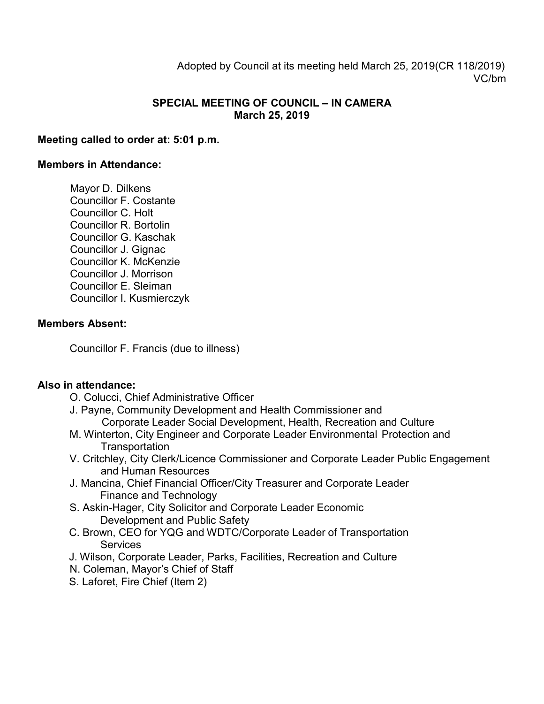Adopted by Council at its meeting held March 25, 2019(CR 118/2019) VC/bm

#### **SPECIAL MEETING OF COUNCIL – IN CAMERA March 25, 2019**

#### **Meeting called to order at: 5:01 p.m.**

#### **Members in Attendance:**

Mayor D. Dilkens Councillor F. Costante Councillor C. Holt Councillor R. Bortolin Councillor G. Kaschak Councillor J. Gignac Councillor K. McKenzie Councillor J. Morrison Councillor E. Sleiman Councillor I. Kusmierczyk

#### **Members Absent:**

Councillor F. Francis (due to illness)

#### **Also in attendance:**

- O. Colucci, Chief Administrative Officer
- J. Payne, Community Development and Health Commissioner and Corporate Leader Social Development, Health, Recreation and Culture
- M. Winterton, City Engineer and Corporate Leader Environmental Protection and **Transportation**
- V. Critchley, City Clerk/Licence Commissioner and Corporate Leader Public Engagement and Human Resources
- J. Mancina, Chief Financial Officer/City Treasurer and Corporate Leader Finance and Technology
- S. Askin-Hager, City Solicitor and Corporate Leader Economic Development and Public Safety
- C. Brown, CEO for YQG and WDTC/Corporate Leader of Transportation **Services**
- J. Wilson, Corporate Leader, Parks, Facilities, Recreation and Culture
- N. Coleman, Mayor's Chief of Staff
- S. Laforet, Fire Chief (Item 2)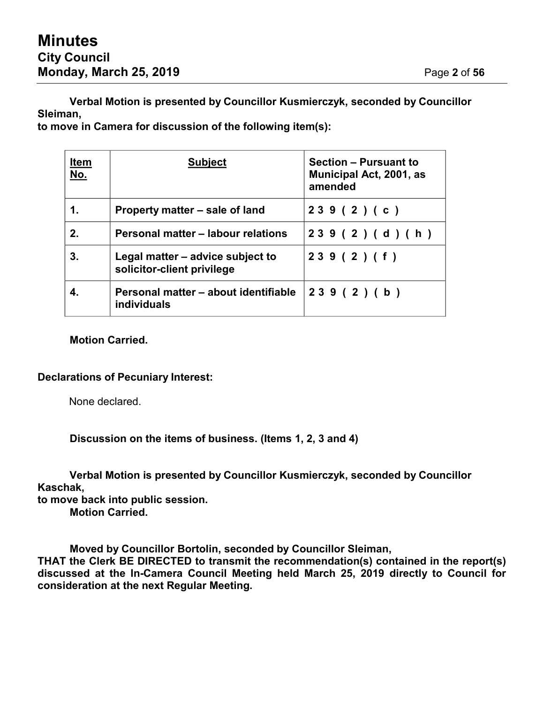**Verbal Motion is presented by Councillor Kusmierczyk, seconded by Councillor Sleiman,**

**to move in Camera for discussion of the following item(s):**

| <b>Item</b><br>No. | <b>Subject</b>                                                 | <b>Section - Pursuant to</b><br><b>Municipal Act, 2001, as</b><br>amended |
|--------------------|----------------------------------------------------------------|---------------------------------------------------------------------------|
| 1.                 | Property matter – sale of land                                 | 239(2)(c)                                                                 |
| 2.                 | Personal matter - labour relations                             | 239 (2) (d) (h)                                                           |
| 3.                 | Legal matter – advice subject to<br>solicitor-client privilege | 239(2)(f)                                                                 |
|                    | Personal matter - about identifiable<br>individuals            | 239(2)(b)                                                                 |

#### **Motion Carried.**

#### **Declarations of Pecuniary Interest:**

None declared.

**Discussion on the items of business. (Items 1, 2, 3 and 4)**

**Verbal Motion is presented by Councillor Kusmierczyk, seconded by Councillor Kaschak,**

**to move back into public session.**

**Motion Carried.**

**Moved by Councillor Bortolin, seconded by Councillor Sleiman,**

**THAT the Clerk BE DIRECTED to transmit the recommendation(s) contained in the report(s) discussed at the In-Camera Council Meeting held March 25, 2019 directly to Council for consideration at the next Regular Meeting.**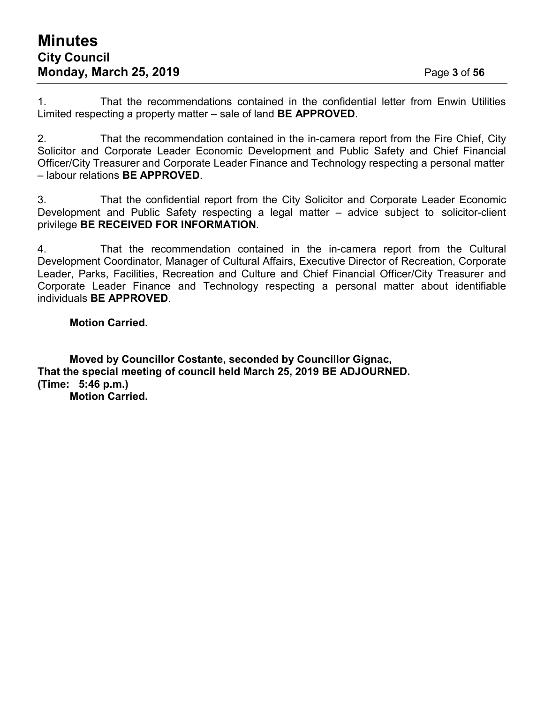1. That the recommendations contained in the confidential letter from Enwin Utilities Limited respecting a property matter – sale of land **BE APPROVED**.

2. That the recommendation contained in the in-camera report from the Fire Chief, City Solicitor and Corporate Leader Economic Development and Public Safety and Chief Financial Officer/City Treasurer and Corporate Leader Finance and Technology respecting a personal matter – labour relations **BE APPROVED**.

3. That the confidential report from the City Solicitor and Corporate Leader Economic Development and Public Safety respecting a legal matter – advice subject to solicitor-client privilege **BE RECEIVED FOR INFORMATION**.

4. That the recommendation contained in the in-camera report from the Cultural Development Coordinator, Manager of Cultural Affairs, Executive Director of Recreation, Corporate Leader, Parks, Facilities, Recreation and Culture and Chief Financial Officer/City Treasurer and Corporate Leader Finance and Technology respecting a personal matter about identifiable individuals **BE APPROVED**.

#### **Motion Carried.**

**Moved by Councillor Costante, seconded by Councillor Gignac, That the special meeting of council held March 25, 2019 BE ADJOURNED. (Time: 5:46 p.m.) Motion Carried.**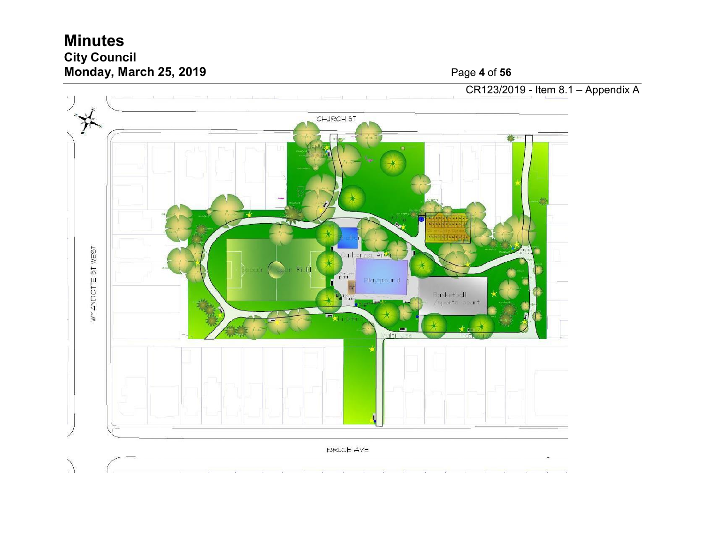## **Minutes City Council Monday, March 25, 2019** Page



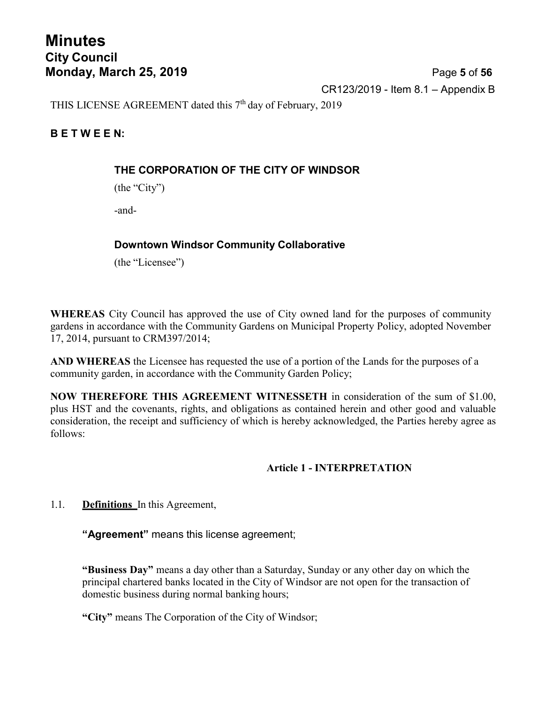## **Minutes City Council Monday, March 25, 2019** Page **5** of **56**

CR123/2019 - Item 8.1 – Appendix B

THIS LICENSE AGREEMENT dated this  $7<sup>th</sup>$  day of February, 2019

#### **B E T W E E N:**

#### **THE CORPORATION OF THE CITY OF WINDSOR**

(the "City")

-and-

#### **Downtown Windsor Community Collaborative**

(the "Licensee")

**WHEREAS** City Council has approved the use of City owned land for the purposes of community gardens in accordance with the Community Gardens on Municipal Property Policy, adopted November 17, 2014, pursuant to CRM397/2014;

**AND WHEREAS** the Licensee has requested the use of a portion of the Lands for the purposes of a community garden, in accordance with the Community Garden Policy;

**NOW THEREFORE THIS AGREEMENT WITNESSETH** in consideration of the sum of \$1.00, plus HST and the covenants, rights, and obligations as contained herein and other good and valuable consideration, the receipt and sufficiency of which is hereby acknowledged, the Parties hereby agree as follows:

#### **Article 1 - INTERPRETATION**

1.1. **Definitions** In this Agreement,

**"Agreement"** means this license agreement;

**"Business Day"** means a day other than a Saturday, Sunday or any other day on which the principal chartered banks located in the City of Windsor are not open for the transaction of domestic business during normal banking hours;

**"City"** means The Corporation of the City of Windsor;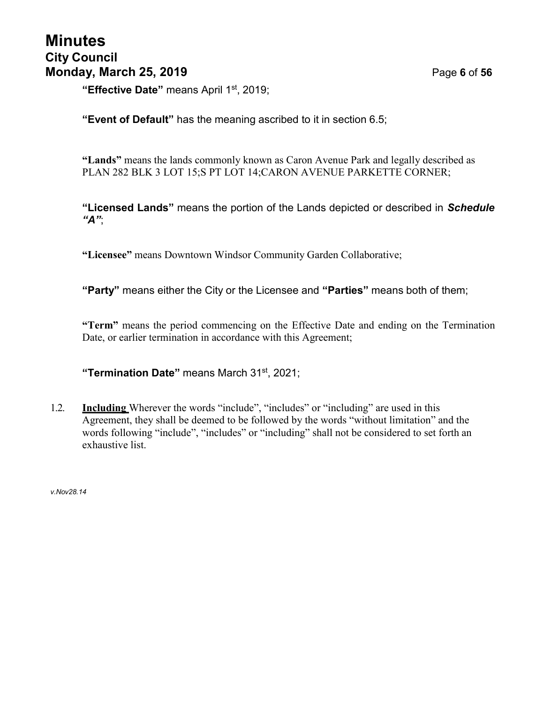"**Effective Date"** means April 1<sup>st</sup>, 2019;

**"Event of Default"** has the meaning ascribed to it in section 6.5;

**"Lands"** means the lands commonly known as Caron Avenue Park and legally described as PLAN 282 BLK 3 LOT 15;S PT LOT 14;CARON AVENUE PARKETTE CORNER;

**"Licensed Lands"** means the portion of the Lands depicted or described in *Schedule "A"*;

**"Licensee"** means Downtown Windsor Community Garden Collaborative;

**"Party"** means either the City or the Licensee and **"Parties"** means both of them;

**"Term"** means the period commencing on the Effective Date and ending on the Termination Date, or earlier termination in accordance with this Agreement;

**"Termination Date"** means March 31st , 2021;

1.2. **Including** Wherever the words "include", "includes" or "including" are used in this Agreement, they shall be deemed to be followed by the words "without limitation" and the words following "include", "includes" or "including" shall not be considered to set forth an exhaustive list.

*v.Nov28.14*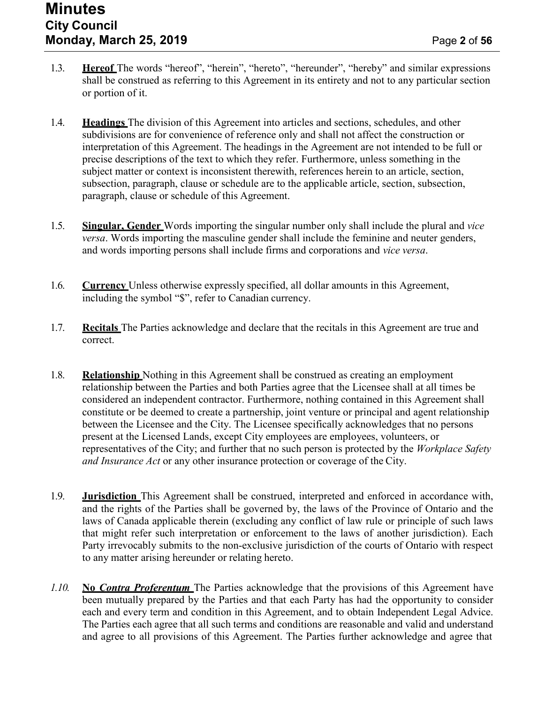- 1.3. **Hereof** The words "hereof", "herein", "hereto", "hereunder", "hereby" and similar expressions shall be construed as referring to this Agreement in its entirety and not to any particular section or portion of it.
- 1.4. **Headings** The division of this Agreement into articles and sections, schedules, and other subdivisions are for convenience of reference only and shall not affect the construction or interpretation of this Agreement. The headings in the Agreement are not intended to be full or precise descriptions of the text to which they refer. Furthermore, unless something in the subject matter or context is inconsistent therewith, references herein to an article, section, subsection, paragraph, clause or schedule are to the applicable article, section, subsection, paragraph, clause or schedule of this Agreement.
- 1.5. **Singular, Gender** Words importing the singular number only shall include the plural and *vice versa*. Words importing the masculine gender shall include the feminine and neuter genders, and words importing persons shall include firms and corporations and *vice versa*.
- 1.6. **Currency** Unless otherwise expressly specified, all dollar amounts in this Agreement, including the symbol "\$", refer to Canadian currency.
- 1.7. **Recitals** The Parties acknowledge and declare that the recitals in this Agreement are true and correct.
- 1.8. **Relationship** Nothing in this Agreement shall be construed as creating an employment relationship between the Parties and both Parties agree that the Licensee shall at all times be considered an independent contractor. Furthermore, nothing contained in this Agreement shall constitute or be deemed to create a partnership, joint venture or principal and agent relationship between the Licensee and the City. The Licensee specifically acknowledges that no persons present at the Licensed Lands, except City employees are employees, volunteers, or representatives of the City; and further that no such person is protected by the *Workplace Safety and Insurance Act* or any other insurance protection or coverage of the City.
- 1.9. **Jurisdiction** This Agreement shall be construed, interpreted and enforced in accordance with, and the rights of the Parties shall be governed by, the laws of the Province of Ontario and the laws of Canada applicable therein (excluding any conflict of law rule or principle of such laws that might refer such interpretation or enforcement to the laws of another jurisdiction). Each Party irrevocably submits to the non-exclusive jurisdiction of the courts of Ontario with respect to any matter arising hereunder or relating hereto.
- *1.10.* **No** *Contra Proferentum* The Parties acknowledge that the provisions of this Agreement have been mutually prepared by the Parties and that each Party has had the opportunity to consider each and every term and condition in this Agreement, and to obtain Independent Legal Advice. The Parties each agree that all such terms and conditions are reasonable and valid and understand and agree to all provisions of this Agreement. The Parties further acknowledge and agree that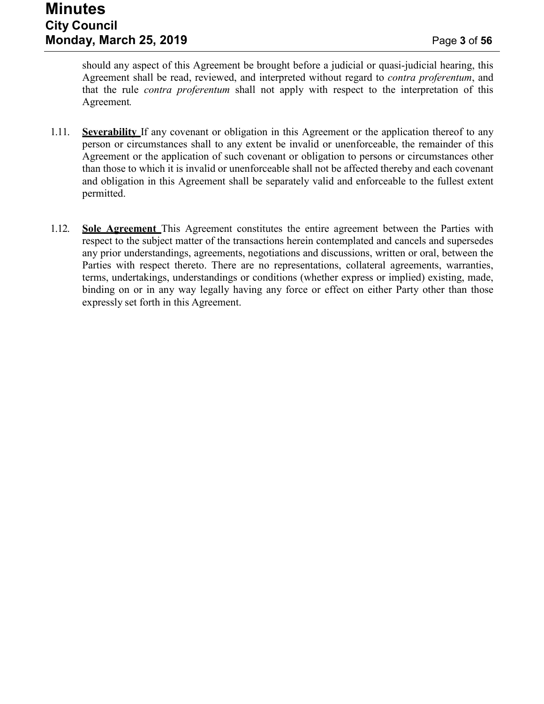should any aspect of this Agreement be brought before a judicial or quasi-judicial hearing, this Agreement shall be read, reviewed, and interpreted without regard to *contra proferentum*, and that the rule *contra proferentum* shall not apply with respect to the interpretation of this Agreement*.*

- 1.11. **Severability** If any covenant or obligation in this Agreement or the application thereof to any person or circumstances shall to any extent be invalid or unenforceable, the remainder of this Agreement or the application of such covenant or obligation to persons or circumstances other than those to which it is invalid or unenforceable shall not be affected thereby and each covenant and obligation in this Agreement shall be separately valid and enforceable to the fullest extent permitted.
- 1.12. **Sole Agreement** This Agreement constitutes the entire agreement between the Parties with respect to the subject matter of the transactions herein contemplated and cancels and supersedes any prior understandings, agreements, negotiations and discussions, written or oral, between the Parties with respect thereto. There are no representations, collateral agreements, warranties, terms, undertakings, understandings or conditions (whether express or implied) existing, made, binding on or in any way legally having any force or effect on either Party other than those expressly set forth in this Agreement.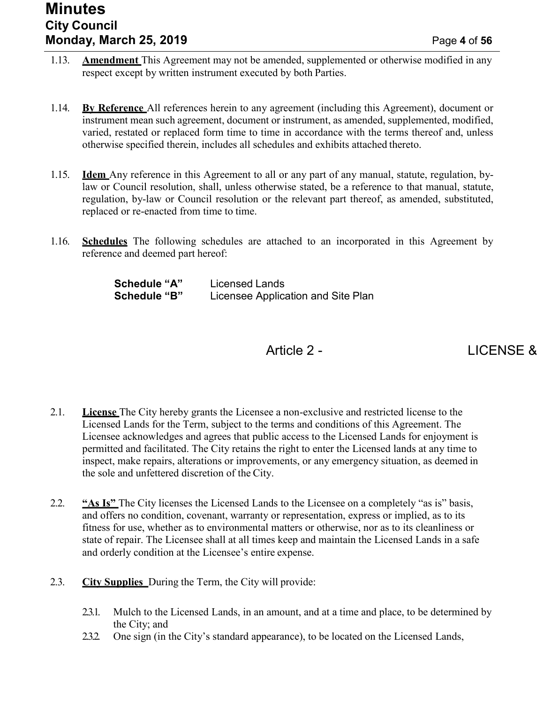## **Minutes City Council Monday, March 25, 2019** Page **4** of **56**

- 1.13. **Amendment** This Agreement may not be amended, supplemented or otherwise modified in any respect except by written instrument executed by both Parties.
- 1.14. **By Reference** All references herein to any agreement (including this Agreement), document or instrument mean such agreement, document or instrument, as amended, supplemented, modified, varied, restated or replaced form time to time in accordance with the terms thereof and, unless otherwise specified therein, includes all schedules and exhibits attached thereto.
- 1.15. **Idem** Any reference in this Agreement to all or any part of any manual, statute, regulation, bylaw or Council resolution, shall, unless otherwise stated, be a reference to that manual, statute, regulation, by-law or Council resolution or the relevant part thereof, as amended, substituted, replaced or re-enacted from time to time.
- 1.16. **Schedules** The following schedules are attached to an incorporated in this Agreement by reference and deemed part hereof:

| <b>Schedule "A"</b> | Licensed Lands                     |
|---------------------|------------------------------------|
| <b>Schedule "B"</b> | Licensee Application and Site Plan |

## Article 2 - LICENSE &

- 2.1. **License** The City hereby grants the Licensee a non-exclusive and restricted license to the Licensed Lands for the Term, subject to the terms and conditions of this Agreement. The Licensee acknowledges and agrees that public access to the Licensed Lands for enjoyment is permitted and facilitated. The City retains the right to enter the Licensed lands at any time to inspect, make repairs, alterations or improvements, or any emergency situation, as deemed in the sole and unfettered discretion of the City.
- 2.2. **"As Is"** The City licenses the Licensed Lands to the Licensee on a completely "as is" basis, and offers no condition, covenant, warranty or representation, express or implied, as to its fitness for use, whether as to environmental matters or otherwise, nor as to its cleanliness or state of repair. The Licensee shall at all times keep and maintain the Licensed Lands in a safe and orderly condition at the Licensee's entire expense.
- 2.3. **City Supplies** During the Term, the City will provide:
	- 2.3.1. Mulch to the Licensed Lands, in an amount, and at a time and place, to be determined by the City; and
	- 2.3.2. One sign (in the City's standard appearance), to be located on the Licensed Lands,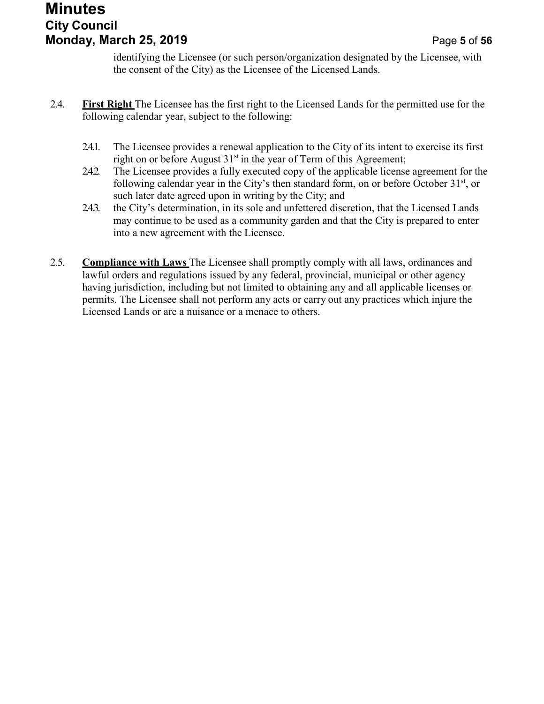## **Minutes City Council Monday, March 25, 2019** Page **5** of **56**

identifying the Licensee (or such person/organization designated by the Licensee, with the consent of the City) as the Licensee of the Licensed Lands.

- 2.4. **First Right** The Licensee has the first right to the Licensed Lands for the permitted use for the following calendar year, subject to the following:
	- 2.4.1. The Licensee provides a renewal application to the City of its intent to exercise its first right on or before August  $31<sup>st</sup>$  in the year of Term of this Agreement;
	- 2.4.2. The Licensee provides a fully executed copy of the applicable license agreement for the following calendar year in the City's then standard form, on or before October  $31<sup>st</sup>$ , or such later date agreed upon in writing by the City; and
	- 2.4.3. the City's determination, in its sole and unfettered discretion, that the Licensed Lands may continue to be used as a community garden and that the City is prepared to enter into a new agreement with the Licensee.
- 2.5. **Compliance with Laws** The Licensee shall promptly comply with all laws, ordinances and lawful orders and regulations issued by any federal, provincial, municipal or other agency having jurisdiction, including but not limited to obtaining any and all applicable licenses or permits. The Licensee shall not perform any acts or carry out any practices which injure the Licensed Lands or are a nuisance or a menace to others.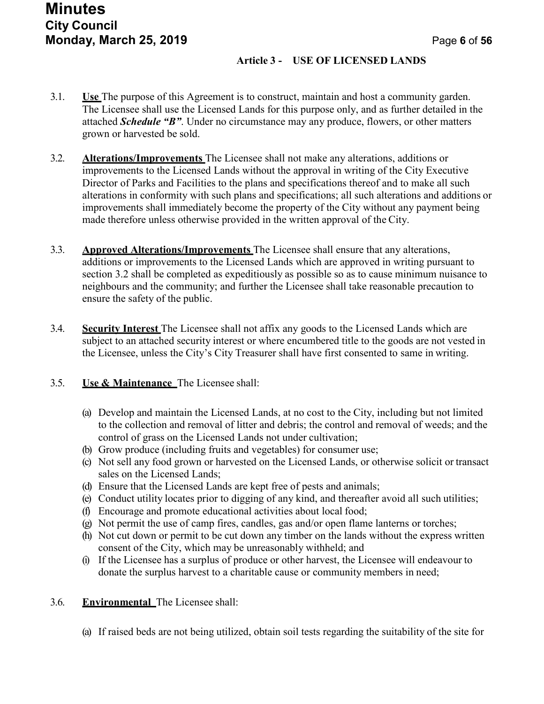## **Minutes City Council Monday, March 25, 2019** Page **6** of **56**

#### **Article 3 - USE OF LICENSED LANDS**

- 3.1. **Use** The purpose of this Agreement is to construct, maintain and host a community garden. The Licensee shall use the Licensed Lands for this purpose only, and as further detailed in the attached *Schedule "B"*. Under no circumstance may any produce, flowers, or other matters grown or harvested be sold.
- 3.2. **Alterations/Improvements** The Licensee shall not make any alterations, additions or improvements to the Licensed Lands without the approval in writing of the City Executive Director of Parks and Facilities to the plans and specifications thereof and to make all such alterations in conformity with such plans and specifications; all such alterations and additions or improvements shall immediately become the property of the City without any payment being made therefore unless otherwise provided in the written approval of the City.
- 3.3. **Approved Alterations/Improvements** The Licensee shall ensure that any alterations, additions or improvements to the Licensed Lands which are approved in writing pursuant to section 3.2 shall be completed as expeditiously as possible so as to cause minimum nuisance to neighbours and the community; and further the Licensee shall take reasonable precaution to ensure the safety of the public.
- 3.4. **Security Interest** The Licensee shall not affix any goods to the Licensed Lands which are subject to an attached security interest or where encumbered title to the goods are not vested in the Licensee, unless the City's City Treasurer shall have first consented to same in writing.

#### 3.5. **Use & Maintenance** The Licensee shall:

- (a) Develop and maintain the Licensed Lands, at no cost to the City, including but not limited to the collection and removal of litter and debris; the control and removal of weeds; and the control of grass on the Licensed Lands not under cultivation;
- (b) Grow produce (including fruits and vegetables) for consumer use;
- (c) Not sell any food grown or harvested on the Licensed Lands, or otherwise solicit or transact sales on the Licensed Lands;
- (d) Ensure that the Licensed Lands are kept free of pests and animals;
- (e) Conduct utility locates prior to digging of any kind, and thereafter avoid all such utilities;
- (f) Encourage and promote educational activities about local food;
- (g) Not permit the use of camp fires, candles, gas and/or open flame lanterns or torches;
- (h) Not cut down or permit to be cut down any timber on the lands without the express written consent of the City, which may be unreasonably withheld; and
- (i) If the Licensee has a surplus of produce or other harvest, the Licensee will endeavour to donate the surplus harvest to a charitable cause or community members in need;

#### 3.6. **Environmental** The Licensee shall:

(a) If raised beds are not being utilized, obtain soil tests regarding the suitability of the site for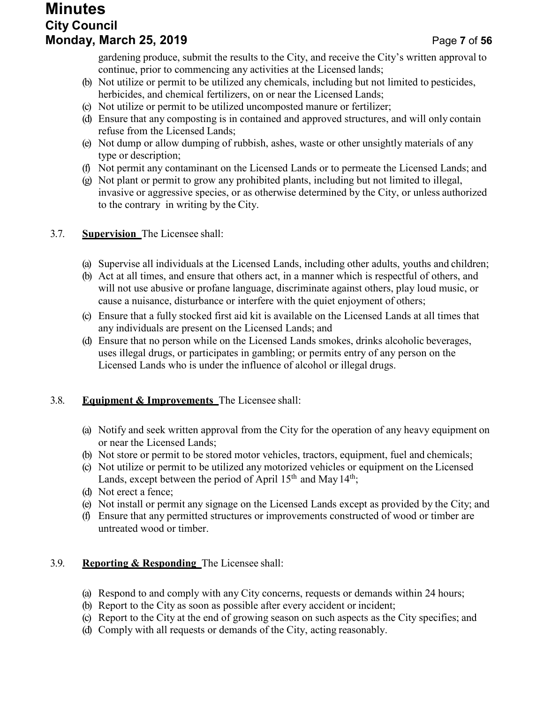## **Minutes City Council Monday, March 25, 2019** Page **7** of **56**

gardening produce, submit the results to the City, and receive the City's written approval to continue, prior to commencing any activities at the Licensed lands;

- (b) Not utilize or permit to be utilized any chemicals, including but not limited to pesticides, herbicides, and chemical fertilizers, on or near the Licensed Lands;
- (c) Not utilize or permit to be utilized uncomposted manure or fertilizer;
- (d) Ensure that any composting is in contained and approved structures, and will only contain refuse from the Licensed Lands;
- (e) Not dump or allow dumping of rubbish, ashes, waste or other unsightly materials of any type or description;
- (f) Not permit any contaminant on the Licensed Lands or to permeate the Licensed Lands; and
- (g) Not plant or permit to grow any prohibited plants, including but not limited to illegal, invasive or aggressive species, or as otherwise determined by the City, or unless authorized to the contrary in writing by the City.

#### 3.7. **Supervision** The Licensee shall:

- (a) Supervise all individuals at the Licensed Lands, including other adults, youths and children;
- (b) Act at all times, and ensure that others act, in a manner which is respectful of others, and will not use abusive or profane language, discriminate against others, play loud music, or cause a nuisance, disturbance or interfere with the quiet enjoyment of others;
- (c) Ensure that a fully stocked first aid kit is available on the Licensed Lands at all times that any individuals are present on the Licensed Lands; and
- (d) Ensure that no person while on the Licensed Lands smokes, drinks alcoholic beverages, uses illegal drugs, or participates in gambling; or permits entry of any person on the Licensed Lands who is under the influence of alcohol or illegal drugs.

#### 3.8. **Equipment & Improvements** The Licensee shall:

- (a) Notify and seek written approval from the City for the operation of any heavy equipment on or near the Licensed Lands;
- (b) Not store or permit to be stored motor vehicles, tractors, equipment, fuel and chemicals;
- (c) Not utilize or permit to be utilized any motorized vehicles or equipment on the Licensed Lands, except between the period of April  $15<sup>th</sup>$  and May  $14<sup>th</sup>$ ;
- (d) Not erect a fence;
- (e) Not install or permit any signage on the Licensed Lands except as provided by the City; and
- (f) Ensure that any permitted structures or improvements constructed of wood or timber are untreated wood or timber.

#### 3.9. **Reporting & Responding** The Licensee shall:

- (a) Respond to and comply with any City concerns, requests or demands within 24 hours;
- (b) Report to the City as soon as possible after every accident or incident;
- (c) Report to the City at the end of growing season on such aspects as the City specifies; and
- (d) Comply with all requests or demands of the City, acting reasonably.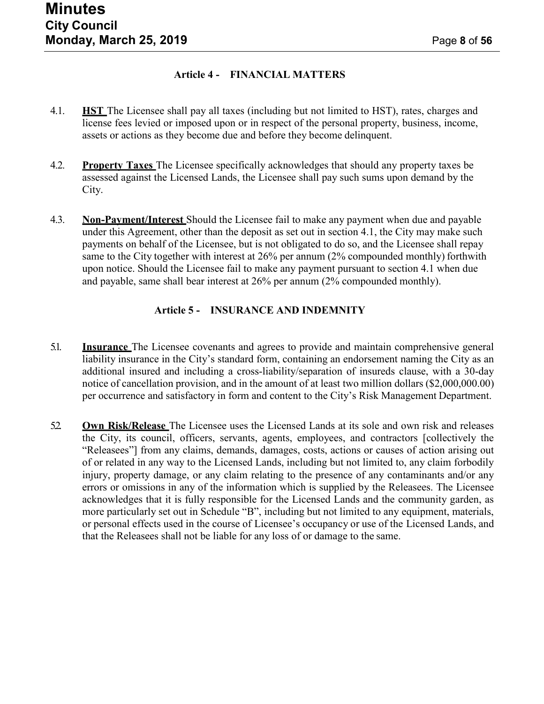#### **Article 4 - FINANCIAL MATTERS**

- 4.1. **HST** The Licensee shall pay all taxes (including but not limited to HST), rates, charges and license fees levied or imposed upon or in respect of the personal property, business, income, assets or actions as they become due and before they become delinquent.
- 4.2. **Property Taxes** The Licensee specifically acknowledges that should any property taxes be assessed against the Licensed Lands, the Licensee shall pay such sums upon demand by the City.
- 4.3. **Non-Payment/Interest** Should the Licensee fail to make any payment when due and payable under this Agreement, other than the deposit as set out in section 4.1, the City may make such payments on behalf of the Licensee, but is not obligated to do so, and the Licensee shall repay same to the City together with interest at 26% per annum (2% compounded monthly) forthwith upon notice. Should the Licensee fail to make any payment pursuant to section 4.1 when due and payable, same shall bear interest at 26% per annum (2% compounded monthly).

#### **Article 5 - INSURANCE AND INDEMNITY**

- 5.1. **Insurance** The Licensee covenants and agrees to provide and maintain comprehensive general liability insurance in the City's standard form, containing an endorsement naming the City as an additional insured and including a cross-liability/separation of insureds clause, with a 30-day notice of cancellation provision, and in the amount of at least two million dollars (\$2,000,000.00) per occurrence and satisfactory in form and content to the City's Risk Management Department.
- 5.2. **Own Risk/Release** The Licensee uses the Licensed Lands at its sole and own risk and releases the City, its council, officers, servants, agents, employees, and contractors [collectively the "Releasees"] from any claims, demands, damages, costs, actions or causes of action arising out of or related in any way to the Licensed Lands, including but not limited to, any claim forbodily injury, property damage, or any claim relating to the presence of any contaminants and/or any errors or omissions in any of the information which is supplied by the Releasees. The Licensee acknowledges that it is fully responsible for the Licensed Lands and the community garden, as more particularly set out in Schedule "B", including but not limited to any equipment, materials, or personal effects used in the course of Licensee's occupancy or use of the Licensed Lands, and that the Releasees shall not be liable for any loss of or damage to the same.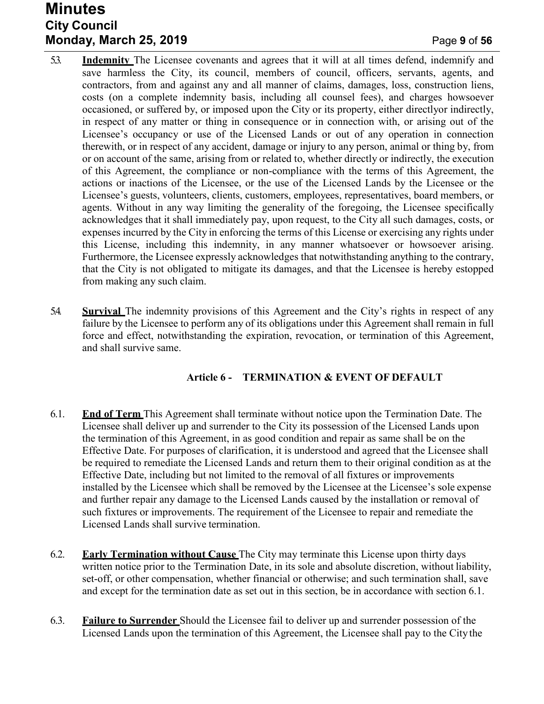## **Minutes City Council Monday, March 25, 2019** Page **9** of **56**

- 5.3. **Indemnity** The Licensee covenants and agrees that it will at all times defend, indemnify and save harmless the City, its council, members of council, officers, servants, agents, and contractors, from and against any and all manner of claims, damages, loss, construction liens, costs (on a complete indemnity basis, including all counsel fees), and charges howsoever occasioned, or suffered by, or imposed upon the City or its property, either directlyor indirectly, in respect of any matter or thing in consequence or in connection with, or arising out of the Licensee's occupancy or use of the Licensed Lands or out of any operation in connection therewith, or in respect of any accident, damage or injury to any person, animal or thing by, from or on account of the same, arising from or related to, whether directly or indirectly, the execution of this Agreement, the compliance or non-compliance with the terms of this Agreement, the actions or inactions of the Licensee, or the use of the Licensed Lands by the Licensee or the Licensee's guests, volunteers, clients, customers, employees, representatives, board members, or agents. Without in any way limiting the generality of the foregoing, the Licensee specifically acknowledges that it shall immediately pay, upon request, to the City all such damages, costs, or expenses incurred by the City in enforcing the terms of this License or exercising any rights under this License, including this indemnity, in any manner whatsoever or howsoever arising. Furthermore, the Licensee expressly acknowledges that notwithstanding anything to the contrary, that the City is not obligated to mitigate its damages, and that the Licensee is hereby estopped from making any such claim.
- 5.4. **Survival** The indemnity provisions of this Agreement and the City's rights in respect of any failure by the Licensee to perform any of its obligations under this Agreement shall remain in full force and effect, notwithstanding the expiration, revocation, or termination of this Agreement, and shall survive same.

#### **Article 6 - TERMINATION & EVENT OF DEFAULT**

- 6.1. **End of Term** This Agreement shall terminate without notice upon the Termination Date. The Licensee shall deliver up and surrender to the City its possession of the Licensed Lands upon the termination of this Agreement, in as good condition and repair as same shall be on the Effective Date. For purposes of clarification, it is understood and agreed that the Licensee shall be required to remediate the Licensed Lands and return them to their original condition as at the Effective Date, including but not limited to the removal of all fixtures or improvements installed by the Licensee which shall be removed by the Licensee at the Licensee's sole expense and further repair any damage to the Licensed Lands caused by the installation or removal of such fixtures or improvements. The requirement of the Licensee to repair and remediate the Licensed Lands shall survive termination.
- 6.2. **Early Termination without Cause** The City may terminate this License upon thirty days written notice prior to the Termination Date, in its sole and absolute discretion, without liability, set-off, or other compensation, whether financial or otherwise; and such termination shall, save and except for the termination date as set out in this section, be in accordance with section 6.1.
- 6.3. **Failure to Surrender** Should the Licensee fail to deliver up and surrender possession of the Licensed Lands upon the termination of this Agreement, the Licensee shall pay to the City the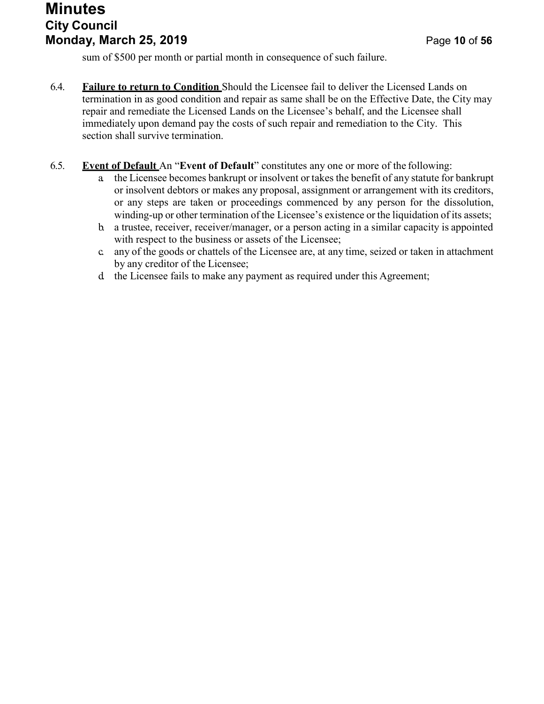## **Minutes City Council Monday, March 25, 2019** Page **10** of **56**

sum of \$500 per month or partial month in consequence of such failure.

- 6.4. **Failure to return to Condition** Should the Licensee fail to deliver the Licensed Lands on termination in as good condition and repair as same shall be on the Effective Date, the City may repair and remediate the Licensed Lands on the Licensee's behalf, and the Licensee shall immediately upon demand pay the costs of such repair and remediation to the City. This section shall survive termination.
- 6.5. **Event of Default** An "**Event of Default**" constitutes any one or more of the following:
	- a. the Licensee becomes bankrupt or insolvent or takes the benefit of any statute for bankrupt or insolvent debtors or makes any proposal, assignment or arrangement with its creditors, or any steps are taken or proceedings commenced by any person for the dissolution, winding-up or other termination of the Licensee's existence or the liquidation of its assets;
	- b. a trustee, receiver, receiver/manager, or a person acting in a similar capacity is appointed with respect to the business or assets of the Licensee;
	- c. any of the goods or chattels of the Licensee are, at any time, seized or taken in attachment by any creditor of the Licensee;
	- d. the Licensee fails to make any payment as required under this Agreement;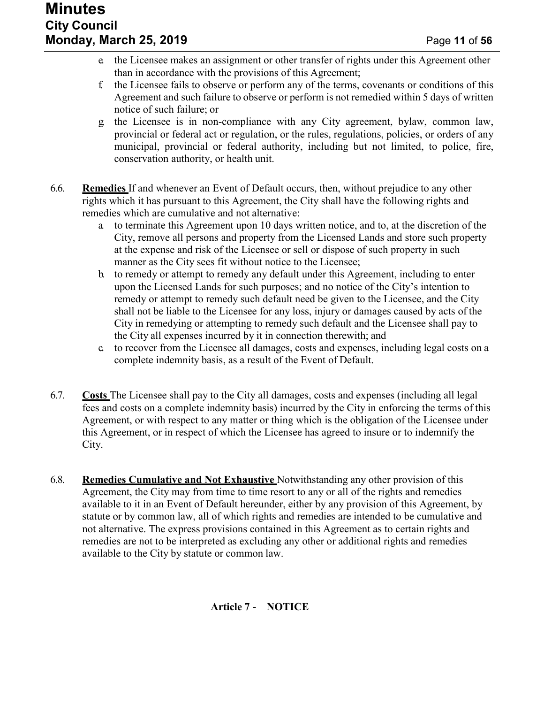- e. the Licensee makes an assignment or other transfer of rights under this Agreement other than in accordance with the provisions of this Agreement;
- f. the Licensee fails to observe or perform any of the terms, covenants or conditions of this Agreement and such failure to observe or perform is not remedied within 5 days of written notice of such failure; or
- g. the Licensee is in non-compliance with any City agreement, bylaw, common law, provincial or federal act or regulation, or the rules, regulations, policies, or orders of any municipal, provincial or federal authority, including but not limited, to police, fire, conservation authority, or health unit.
- 6.6. **Remedies** If and whenever an Event of Default occurs, then, without prejudice to any other rights which it has pursuant to this Agreement, the City shall have the following rights and remedies which are cumulative and not alternative:
	- a. to terminate this Agreement upon 10 days written notice, and to, at the discretion of the City, remove all persons and property from the Licensed Lands and store such property at the expense and risk of the Licensee or sell or dispose of such property in such manner as the City sees fit without notice to the Licensee;
	- b. to remedy or attempt to remedy any default under this Agreement, including to enter upon the Licensed Lands for such purposes; and no notice of the City's intention to remedy or attempt to remedy such default need be given to the Licensee, and the City shall not be liable to the Licensee for any loss, injury or damages caused by acts of the City in remedying or attempting to remedy such default and the Licensee shall pay to the City all expenses incurred by it in connection therewith; and
	- c. to recover from the Licensee all damages, costs and expenses, including legal costs on a complete indemnity basis, as a result of the Event of Default.
- 6.7. **Costs** The Licensee shall pay to the City all damages, costs and expenses (including all legal fees and costs on a complete indemnity basis) incurred by the City in enforcing the terms of this Agreement, or with respect to any matter or thing which is the obligation of the Licensee under this Agreement, or in respect of which the Licensee has agreed to insure or to indemnify the City.
- 6.8. **Remedies Cumulative and Not Exhaustive** Notwithstanding any other provision of this Agreement, the City may from time to time resort to any or all of the rights and remedies available to it in an Event of Default hereunder, either by any provision of this Agreement, by statute or by common law, all of which rights and remedies are intended to be cumulative and not alternative. The express provisions contained in this Agreement as to certain rights and remedies are not to be interpreted as excluding any other or additional rights and remedies available to the City by statute or common law.

**Article 7 - NOTICE**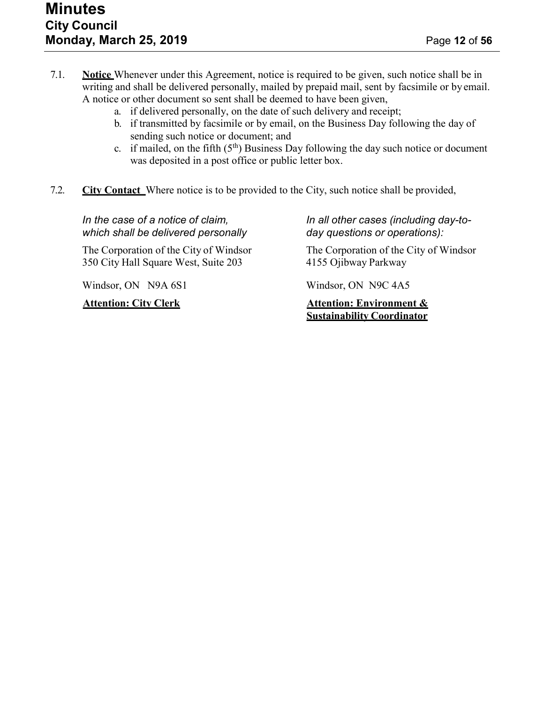- 7.1. **Notice** Whenever under this Agreement, notice is required to be given, such notice shall be in writing and shall be delivered personally, mailed by prepaid mail, sent by facsimile or by email. A notice or other document so sent shall be deemed to have been given,
	- a. if delivered personally, on the date of such delivery and receipt;
	- b. if transmitted by facsimile or by email, on the Business Day following the day of sending such notice or document; and
	- c. if mailed, on the fifth  $(5<sup>th</sup>)$  Business Day following the day such notice or document was deposited in a post office or public letter box.
- 7.2. **City Contact** Where notice is to be provided to the City, such notice shall be provided,

*which shall be delivered personally day questions or operations):*

350 City Hall Square West, Suite 203 4155 Ojibway Parkway

Windsor, ON N9A 6S1 Windsor, ON N9C 4A5

*In the case of a notice of claim, In all other cases (including day-to-*

The Corporation of the City of Windsor The Corporation of the City of Windsor

**Attention: City Clerk Attention: Environment & Sustainability Coordinator**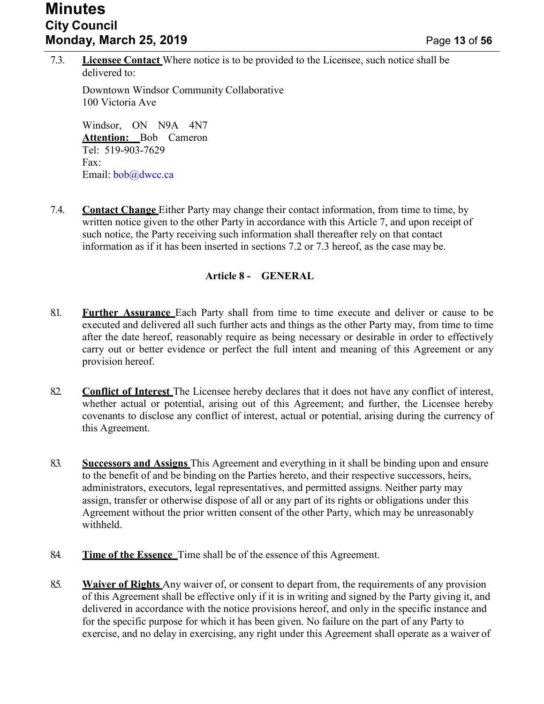## **Minutes City Council Monday, March 25, 2019** Page **13** of **56**

7.3. **Licensee Contact** Where notice is to be provided to the Licensee, such notice shall be delivered to:

Downtown Windsor Community Collaborative 100 Victoria Ave

Windsor, ON N9A 4N7 **Attention:** Bob Cameron Tel: 519-903-7629 Fax: Email: [bob@dwcc.ca](mailto:bob@dwcc.ca)

7.4. **Contact Change** Either Party may change their contact information, from time to time, by written notice given to the other Party in accordance with this Article 7, and upon receipt of such notice, the Party receiving such information shall thereafter rely on that contact information as if it has been inserted in sections 7.2 or 7.3 hereof, as the case may be.

#### **Article 8 - GENERAL**

- 8.1. **Further Assurance** Each Party shall from time to time execute and deliver or cause to be executed and delivered all such further acts and things as the other Party may, from time to time after the date hereof, reasonably require as being necessary or desirable in order to effectively carry out or better evidence or perfect the full intent and meaning of this Agreement or any provision hereof.
- 8.2. **Conflict of Interest** The Licensee hereby declares that it does not have any conflict of interest, whether actual or potential, arising out of this Agreement; and further, the Licensee hereby covenants to disclose any conflict of interest, actual or potential, arising during the currency of this Agreement.
- 8.3. **Successors and Assigns** This Agreement and everything in it shall be binding upon and ensure to the benefit of and be binding on the Parties hereto, and their respective successors, heirs, administrators, executors, legal representatives, and permitted assigns. Neither party may assign, transfer or otherwise dispose of all or any part of its rights or obligations under this Agreement without the prior written consent of the other Party, which may be unreasonably withheld.
- 8.4. **Time of the Essence** Time shall be of the essence of this Agreement.
- 8.5. **Waiver of Rights** Any waiver of, or consent to depart from, the requirements of any provision of this Agreement shall be effective only if it is in writing and signed by the Party giving it, and delivered in accordance with the notice provisions hereof, and only in the specific instance and for the specific purpose for which it has been given. No failure on the part of any Party to exercise, and no delay in exercising, any right under this Agreement shall operate as a waiver of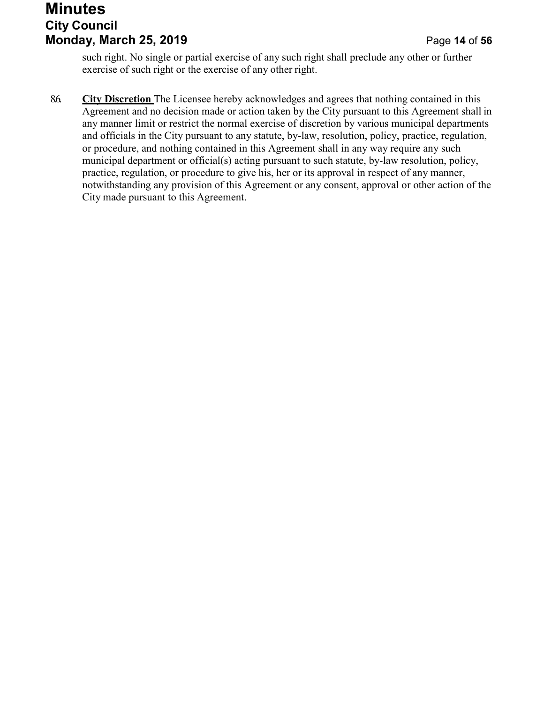## **Minutes City Council Monday, March 25, 2019** Page **14** of **56**

such right. No single or partial exercise of any such right shall preclude any other or further exercise of such right or the exercise of any other right.

8.6. **City Discretion** The Licensee hereby acknowledges and agrees that nothing contained in this Agreement and no decision made or action taken by the City pursuant to this Agreement shall in any manner limit or restrict the normal exercise of discretion by various municipal departments and officials in the City pursuant to any statute, by-law, resolution, policy, practice, regulation, or procedure, and nothing contained in this Agreement shall in any way require any such municipal department or official(s) acting pursuant to such statute, by-law resolution, policy, practice, regulation, or procedure to give his, her or its approval in respect of any manner, notwithstanding any provision of this Agreement or any consent, approval or other action of the City made pursuant to this Agreement.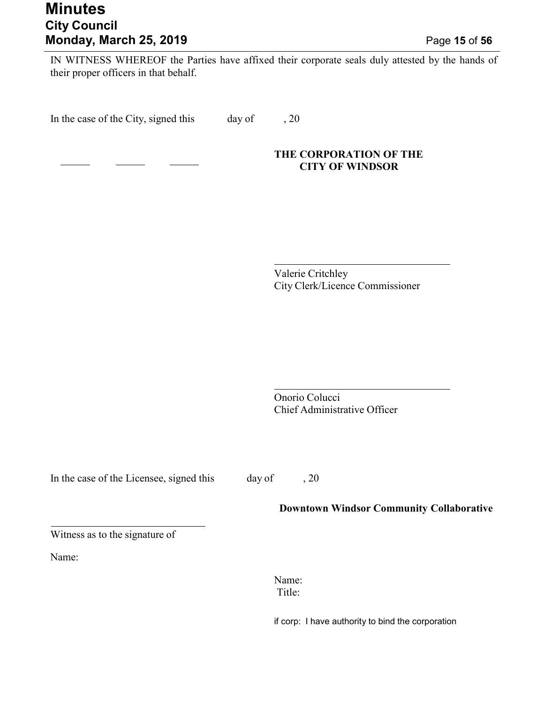## **Minutes City Council Monday, March 25, 2019** Page **15** of **56**

IN WITNESS WHEREOF the Parties have affixed their corporate seals duly attested by the hands of their proper officers in that behalf.

In the case of the City, signed this day of , 20

#### **THE CORPORATION OF THE CITY OF WINDSOR**

Valerie Critchley City Clerk/Licence Commissioner

Onorio Colucci Chief Administrative Officer

In the case of the Licensee, signed this day of , 20

#### **Downtown Windsor Community Collaborative**

Witness as to the signature of

Name:

Name: Title:

if corp: I have authority to bind the corporation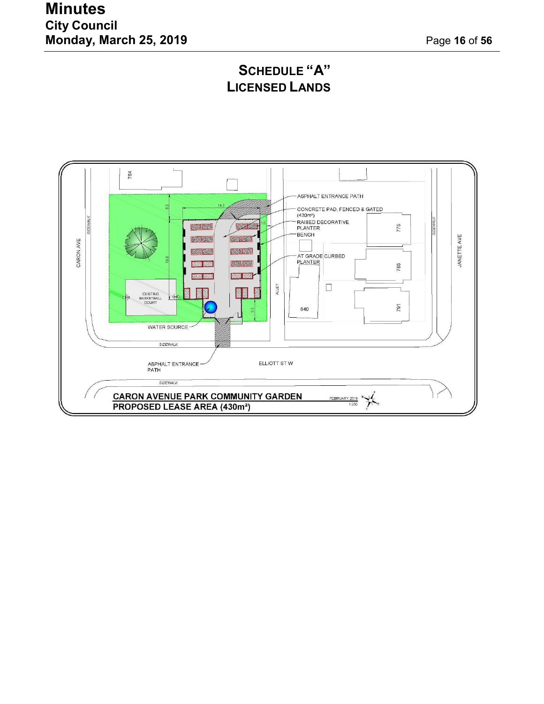## **Minutes City Council Monday, March 25, 2019** Page **16** of **56**

## **SCHEDULE "A" LICENSED LANDS**

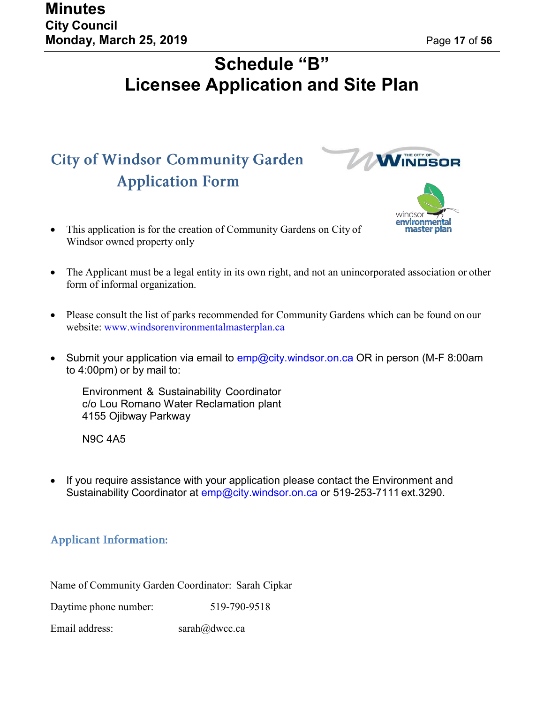**WINDSOR** 

windsor

# **Schedule "B" Licensee Application and Site Plan**

# **City of Windsor Community Garden Application Form**

- This application is for the creation of Community Gardens on City of **Exercise Community** Windsor owned property only
- The Applicant must be a legal entity in its own right, and not an unincorporated association or other form of informal organization.
- Please consult the list of parks recommended for Community Gardens which can be found on our website: [www.windsorenvironmentalmasterplan.ca](http://www.windsorenvironmentalmasterplan.ca/)
- Submit your application via email to [emp@city.windsor.on.ca O](mailto:emp@city.windsor.on.ca)R in person (M-F 8:00am to 4:00pm) or by mail to:

Environment & Sustainability Coordinator c/o Lou Romano Water Reclamation plant 4155 Ojibway Parkway

N9C 4A5

• If you require assistance with your application please contact the Environment and Sustainability Coordinator at [emp@city.windsor.on.ca](mailto:emp@city.windsor.on.ca) or 519-253-7111 ext.3290.

## **Applicant Information:**

Name of Community Garden Coordinator: Sarah Cipkar

Daytime phone number: 519-790-9518

Email address: [sarah@dwcc.ca](mailto:sarah@dwcc.ca)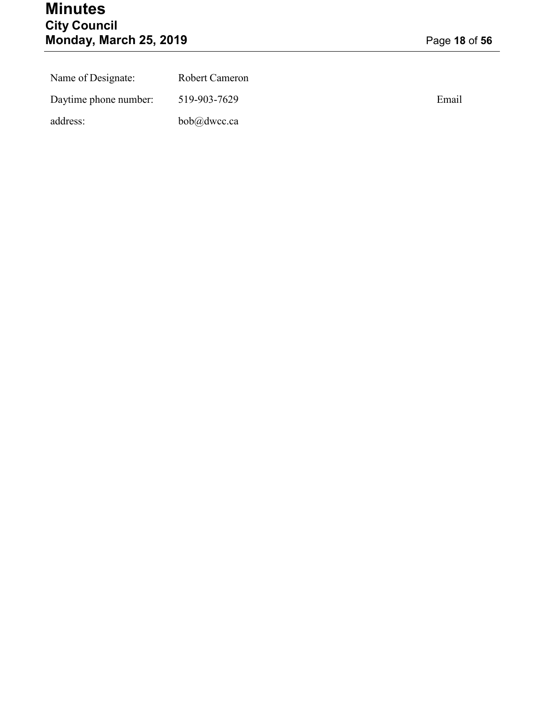## **Minutes City Council Monday, March 25, 2019** Page **18** of **56**

| Name of Designate:    | Robert Cameron |       |
|-----------------------|----------------|-------|
| Daytime phone number: | 519-903-7629   | Email |
| address:              | bob@dwcc.ca    |       |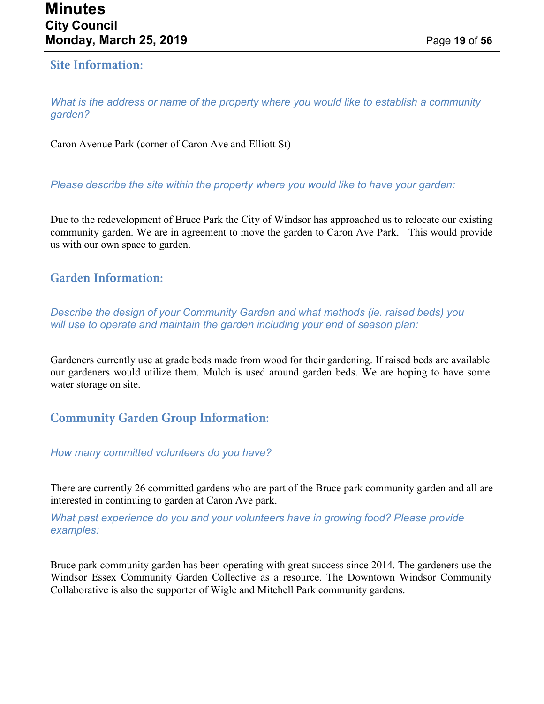#### **Site Information:**

*What is the address or name of the property where you would like to establish a community garden?*

Caron Avenue Park (corner of Caron Ave and Elliott St)

*Please describe the site within the property where you would like to have your garden:*

Due to the redevelopment of Bruce Park the City of Windsor has approached us to relocate our existing community garden. We are in agreement to move the garden to Caron Ave Park. This would provide us with our own space to garden.

#### **Garden Information:**

*Describe the design of your Community Garden and what methods (ie. raised beds) you will use to operate and maintain the garden including your end of season plan:*

Gardeners currently use at grade beds made from wood for their gardening. If raised beds are available our gardeners would utilize them. Mulch is used around garden beds. We are hoping to have some water storage on site.

## **Community Garden Group Information:**

*How many committed volunteers do you have?*

There are currently 26 committed gardens who are part of the Bruce park community garden and all are interested in continuing to garden at Caron Ave park.

*What past experience do you and your volunteers have in growing food? Please provide examples:*

Bruce park community garden has been operating with great success since 2014. The gardeners use the Windsor Essex Community Garden Collective as a resource. The Downtown Windsor Community Collaborative is also the supporter of Wigle and Mitchell Park community gardens.